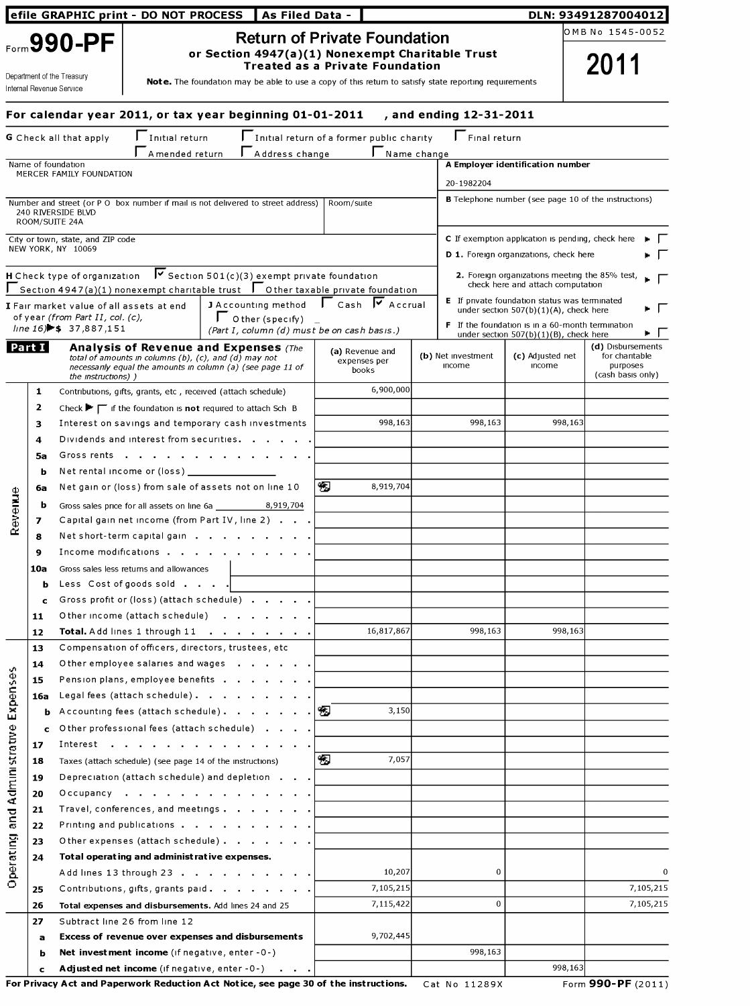| efile GRAPHIC print - DO NOT PROCESS                                  |          | As Filed Data -                                                        |                                                                                                                                                                                                            |                                                                          |            | DLN: 93491287004012                      |  |                                     |                                                                                                   |                                                |
|-----------------------------------------------------------------------|----------|------------------------------------------------------------------------|------------------------------------------------------------------------------------------------------------------------------------------------------------------------------------------------------------|--------------------------------------------------------------------------|------------|------------------------------------------|--|-------------------------------------|---------------------------------------------------------------------------------------------------|------------------------------------------------|
|                                                                       |          |                                                                        |                                                                                                                                                                                                            | <b>Return of Private Foundation</b>                                      |            |                                          |  |                                     |                                                                                                   | OMB No 1545-0052                               |
| Form 990-PF<br>Department of the Treasury<br>Internal Revenue Service |          |                                                                        | or Section 4947(a)(1) Nonexempt Charitable Trust<br><b>Treated as a Private Foundation</b><br><b>Note.</b> The foundation may be able to use a copy of this return to satisfy state reporting requirements |                                                                          |            |                                          |  | 2011                                |                                                                                                   |                                                |
|                                                                       |          |                                                                        |                                                                                                                                                                                                            |                                                                          |            |                                          |  |                                     |                                                                                                   |                                                |
|                                                                       |          |                                                                        | For calendar year 2011, or tax year beginning 01-01-2011                                                                                                                                                   |                                                                          |            |                                          |  | , and ending 12-31-2011             |                                                                                                   |                                                |
|                                                                       |          | G Check all that apply                                                 | Initial return<br>A mended return                                                                                                                                                                          | $\ $ Initial return of a former public charity<br>Address change         |            | Name change                              |  | $\Gamma$ Final return               |                                                                                                   |                                                |
|                                                                       |          | Name of foundation                                                     |                                                                                                                                                                                                            |                                                                          |            |                                          |  |                                     | A Employer identification number                                                                  |                                                |
|                                                                       |          | MERCER FAMILY FOUNDATION                                               |                                                                                                                                                                                                            |                                                                          |            |                                          |  | 20-1982204                          |                                                                                                   |                                                |
|                                                                       |          | 240 RIVERSIDE BLVD<br>ROOM/SUITE 24A                                   | Number and street (or P O box number if mail is not delivered to street address)                                                                                                                           |                                                                          | Room/suite |                                          |  |                                     | <b>B</b> Telephone number (see page 10 of the instructions)                                       |                                                |
|                                                                       |          | City or town, state, and ZIP code                                      |                                                                                                                                                                                                            |                                                                          |            |                                          |  |                                     | C If exemption application is pending, check here                                                 |                                                |
|                                                                       |          | NEW YORK, NY 10069                                                     |                                                                                                                                                                                                            |                                                                          |            |                                          |  |                                     | D 1. Foreign organizations, check here                                                            |                                                |
|                                                                       |          | H Check type of organization                                           |                                                                                                                                                                                                            | $\triangledown$ Section 501(c)(3) exempt private foundation              |            |                                          |  |                                     | 2. Foreign organizations meeting the 85% test,                                                    |                                                |
|                                                                       |          |                                                                        | Section 4947(a)(1) nonexempt charitable trust $\;\;\Gamma$ Other taxable private foundation                                                                                                                |                                                                          |            |                                          |  |                                     | check here and attach computation                                                                 |                                                |
|                                                                       |          | I Fair market value of all assets at end                               |                                                                                                                                                                                                            | J Accounting method                                                      |            | $\Gamma$ Cash $\overline{V}$ Accrual     |  |                                     | <b>E</b> If private foundation status was terminated<br>under section $507(b)(1)(A)$ , check here |                                                |
|                                                                       |          | of year (from Part II, col. (c),<br>$line 16$ $\rightarrow$ 37,887,151 |                                                                                                                                                                                                            | $\Gamma$ O ther (specify)<br>(Part I, column (d) must be on cash basis.) |            |                                          |  |                                     | <b>F</b> If the foundation is in a 60-month termination                                           |                                                |
|                                                                       | Part I   |                                                                        | <b>Analysis of Revenue and Expenses (The</b>                                                                                                                                                               |                                                                          |            |                                          |  |                                     | under section $507(b)(1)(B)$ , check here                                                         | . .<br>(d) Disbursements                       |
|                                                                       |          | the <i>instructions</i> ) )                                            | total of amounts in columns (b), (c), and (d) may not<br>necessanly equal the amounts in column (a) (see page 11 of                                                                                        |                                                                          |            | (a) Revenue and<br>expenses per<br>books |  | (b) Net investment<br><b>Income</b> | (c) Adjusted net<br><b>Income</b>                                                                 | for chantable<br>purposes<br>(cash basis only) |
|                                                                       | 1        |                                                                        | Contributions, gifts, grants, etc, received (attach schedule)                                                                                                                                              |                                                                          |            | 6,900,000                                |  |                                     |                                                                                                   |                                                |
|                                                                       | 2        |                                                                        | Check $\blacktriangleright \blacktriangleright$ if the foundation is <b>not</b> required to attach Sch B                                                                                                   |                                                                          |            |                                          |  |                                     |                                                                                                   |                                                |
|                                                                       | 3        |                                                                        | Interest on savings and temporary cash investments                                                                                                                                                         |                                                                          |            | 998,163                                  |  | 998,163                             | 998,163                                                                                           |                                                |
|                                                                       | 4        |                                                                        | Dividends and interest from securities.                                                                                                                                                                    |                                                                          |            |                                          |  |                                     |                                                                                                   |                                                |
|                                                                       | 5а       | Gross rents                                                            | <b>Contract Contract</b>                                                                                                                                                                                   |                                                                          |            |                                          |  |                                     |                                                                                                   |                                                |
|                                                                       | ь        |                                                                        | Net rental income or (loss) __                                                                                                                                                                             |                                                                          |            |                                          |  |                                     |                                                                                                   |                                                |
| 9u∎                                                                   | 6а       |                                                                        | Net gain or (loss) from sale of assets not on line 10                                                                                                                                                      |                                                                          | 田          | 8,919,704                                |  |                                     |                                                                                                   |                                                |
|                                                                       | b        |                                                                        | Gross sales price for all assets on line 6a                                                                                                                                                                | 8,919,704                                                                |            |                                          |  |                                     |                                                                                                   |                                                |
| Rever                                                                 | 7        |                                                                        | Capital gain net income (from Part IV, line 2)                                                                                                                                                             |                                                                          |            |                                          |  |                                     |                                                                                                   |                                                |
|                                                                       | 8        |                                                                        | Net short-term capital gain                                                                                                                                                                                |                                                                          |            |                                          |  |                                     |                                                                                                   |                                                |
|                                                                       | 9        |                                                                        | Income modifications                                                                                                                                                                                       |                                                                          |            |                                          |  |                                     |                                                                                                   |                                                |
|                                                                       | 10a      |                                                                        | Gross sales less returns and allowances                                                                                                                                                                    |                                                                          |            |                                          |  |                                     |                                                                                                   |                                                |
|                                                                       | ь        |                                                                        | Less Cost of goods sold                                                                                                                                                                                    |                                                                          |            |                                          |  |                                     |                                                                                                   |                                                |
|                                                                       | c        |                                                                        | Gross profit or (loss) (attach schedule)                                                                                                                                                                   |                                                                          |            |                                          |  |                                     |                                                                                                   |                                                |
|                                                                       | 11       |                                                                        | Other income (attach schedule)                                                                                                                                                                             |                                                                          |            |                                          |  |                                     |                                                                                                   |                                                |
|                                                                       | 12       |                                                                        | Total. Add lines 1 through 11                                                                                                                                                                              |                                                                          |            | 16,817,867                               |  | 998,163                             | 998,163                                                                                           |                                                |
|                                                                       | 13       |                                                                        | Compensation of officers, directors, trustees, etc<br>Other employee salaries and wages                                                                                                                    |                                                                          |            |                                          |  |                                     |                                                                                                   |                                                |
| o.                                                                    | 14<br>15 |                                                                        | Pension plans, employee benefits                                                                                                                                                                           |                                                                          |            |                                          |  |                                     |                                                                                                   |                                                |
| <b>Expense</b>                                                        | 16a      |                                                                        | Legal fees (attach schedule).                                                                                                                                                                              |                                                                          |            |                                          |  |                                     |                                                                                                   |                                                |
|                                                                       | ь        |                                                                        | Accounting fees (attach schedule).                                                                                                                                                                         |                                                                          | ľЮ         | 3,150                                    |  |                                     |                                                                                                   |                                                |
|                                                                       |          |                                                                        | O ther professional fees (attach schedule)                                                                                                                                                                 |                                                                          |            |                                          |  |                                     |                                                                                                   |                                                |
|                                                                       | 17       |                                                                        | Interest $\cdots$                                                                                                                                                                                          |                                                                          |            |                                          |  |                                     |                                                                                                   |                                                |
|                                                                       | 18       |                                                                        | Taxes (attach schedule) (see page 14 of the instructions)                                                                                                                                                  |                                                                          | 90         | 7,057                                    |  |                                     |                                                                                                   |                                                |
| Administrative                                                        | 19       |                                                                        | Depreciation (attach schedule) and depletion                                                                                                                                                               |                                                                          |            |                                          |  |                                     |                                                                                                   |                                                |
|                                                                       | 20       |                                                                        | Occupancy                                                                                                                                                                                                  |                                                                          |            |                                          |  |                                     |                                                                                                   |                                                |
|                                                                       | 21       |                                                                        | Travel, conferences, and meetings                                                                                                                                                                          |                                                                          |            |                                          |  |                                     |                                                                                                   |                                                |
| and<br>S                                                              | 22       |                                                                        | Printing and publications                                                                                                                                                                                  |                                                                          |            |                                          |  |                                     |                                                                                                   |                                                |
|                                                                       | 23       |                                                                        | Other expenses (attach schedule)                                                                                                                                                                           |                                                                          |            |                                          |  |                                     |                                                                                                   |                                                |
|                                                                       | 24       |                                                                        | Total operating and administ rative expenses.                                                                                                                                                              |                                                                          |            |                                          |  |                                     |                                                                                                   |                                                |
| Operating                                                             |          |                                                                        | Add lines 13 through 23                                                                                                                                                                                    |                                                                          |            | 10,207                                   |  | 0                                   |                                                                                                   | 0                                              |
|                                                                       | 25       |                                                                        | Contributions, gifts, grants paid.                                                                                                                                                                         |                                                                          |            | 7,105,215                                |  |                                     |                                                                                                   | 7,105,215                                      |
|                                                                       | 26       |                                                                        | Total expenses and disbursements. Add lines 24 and 25                                                                                                                                                      |                                                                          |            | 7,115,422                                |  | 0                                   |                                                                                                   | 7,105,215                                      |
|                                                                       | 27       |                                                                        | Subtract line 26 from line 12                                                                                                                                                                              |                                                                          |            |                                          |  |                                     |                                                                                                   |                                                |
|                                                                       | a        |                                                                        | Excess of revenue over expenses and disbursements                                                                                                                                                          |                                                                          |            | 9,702,445                                |  |                                     |                                                                                                   |                                                |
|                                                                       | ь        |                                                                        | Net investment income (if negative, enter $-0$ -)                                                                                                                                                          |                                                                          |            |                                          |  | 998,163                             |                                                                                                   |                                                |
|                                                                       | c        |                                                                        | Adjusted net income (if negative, enter -0-)                                                                                                                                                               |                                                                          |            |                                          |  |                                     | 998,163                                                                                           |                                                |

For Privacy Act and Paperwork Reduction Act Notice, see page 30 of the instructions. Cat No 11289X Form 990-PF (2011)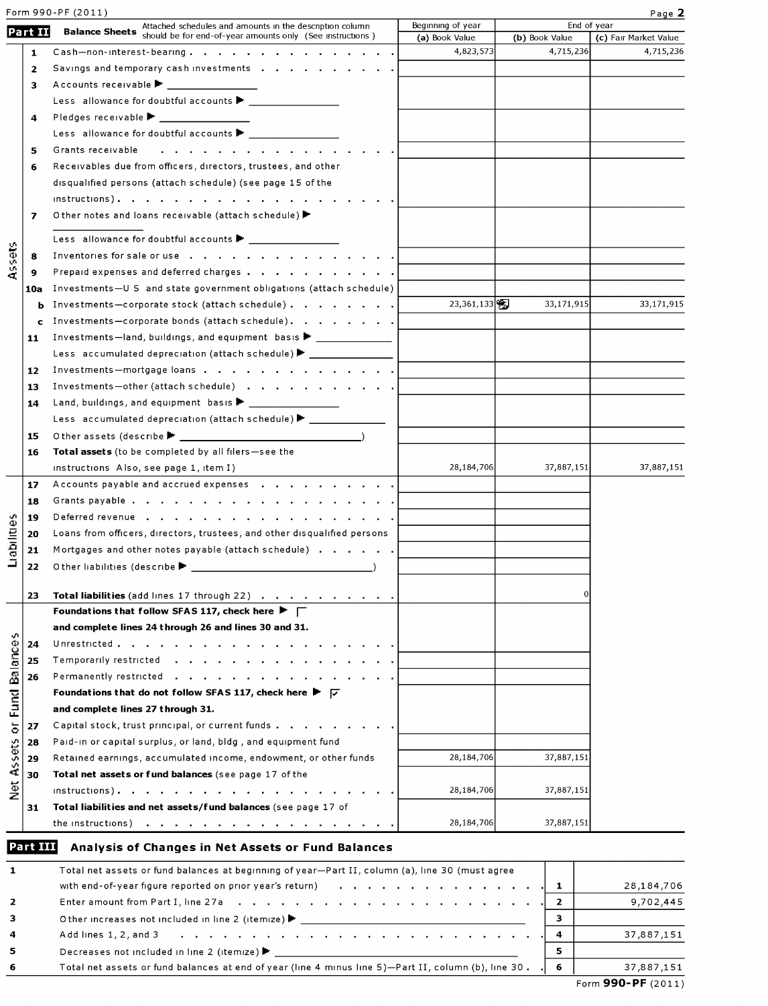|                            |                | Form 990-PF (2011)                                                                                                                                                                                                                                 |                                     |                | Page 2                               |
|----------------------------|----------------|----------------------------------------------------------------------------------------------------------------------------------------------------------------------------------------------------------------------------------------------------|-------------------------------------|----------------|--------------------------------------|
|                            | Part II        | Attached schedules and amounts in the description column<br><b>Balance Sheets</b> should be for end-of-year amounts only (See instructions)                                                                                                        | Beginning of year<br>(a) Book Value | (b) Book Value | End of year<br>(c) Fair Market Value |
|                            | 1              | $Cash$ -non-interest-bearing.                                                                                                                                                                                                                      | 4,823,573                           | 4,715,236      | 4,715,236                            |
|                            | $\overline{2}$ | Savings and temporary cash investments                                                                                                                                                                                                             |                                     |                |                                      |
|                            | 3              | Accounts receivable                                                                                                                                                                                                                                |                                     |                |                                      |
|                            |                |                                                                                                                                                                                                                                                    |                                     |                |                                      |
|                            | 4              | Pledges receivable ▶ <u>__________</u> _____                                                                                                                                                                                                       |                                     |                |                                      |
|                            |                | Less allowance for doubtful accounts                                                                                                                                                                                                               |                                     |                |                                      |
|                            | 5              | Grants receivable<br>the contract of the contract of the contract of the con-                                                                                                                                                                      |                                     |                |                                      |
|                            | 6              | Receivables due from officers, directors, trustees, and other                                                                                                                                                                                      |                                     |                |                                      |
|                            |                | disqualified persons (attach schedule) (see page 15 of the                                                                                                                                                                                         |                                     |                |                                      |
|                            |                |                                                                                                                                                                                                                                                    |                                     |                |                                      |
|                            | 7              | O ther notes and loans receivable (attach schedule)                                                                                                                                                                                                |                                     |                |                                      |
|                            |                |                                                                                                                                                                                                                                                    |                                     |                |                                      |
|                            |                | Less allowance for doubtful accounts $\blacktriangleright$ ______________                                                                                                                                                                          |                                     |                |                                      |
| Assets                     | 8              | Inventories for sale or use                                                                                                                                                                                                                        |                                     |                |                                      |
|                            | 9              | Prepaid expenses and deferred charges                                                                                                                                                                                                              |                                     |                |                                      |
|                            | 10a            | Investments-U S and state government obligations (attach schedule)                                                                                                                                                                                 |                                     |                |                                      |
|                            | b              | Investments-corporate stock (attach schedule)                                                                                                                                                                                                      | 23,361,133                          | 33,171,915     | 33,171,915                           |
|                            | c              | Investments-corporate bonds (attach schedule).                                                                                                                                                                                                     |                                     |                |                                      |
|                            | 11             | Investments-land, buildings, and equipment basis ▶ _____________________________                                                                                                                                                                   |                                     |                |                                      |
|                            |                | Less accumulated depreciation (attach schedule) $\blacktriangleright$ _________                                                                                                                                                                    |                                     |                |                                      |
|                            | 12             | Investments-mortgage loans                                                                                                                                                                                                                         |                                     |                |                                      |
|                            | 13             | Investments-other (attach schedule)                                                                                                                                                                                                                |                                     |                |                                      |
|                            | 14             | Land, buildings, and equipment basis $\blacktriangleright$ ________________                                                                                                                                                                        |                                     |                |                                      |
|                            |                | Less accumulated depreciation (attach schedule) ▶ ______________________________                                                                                                                                                                   |                                     |                |                                      |
|                            | 15             |                                                                                                                                                                                                                                                    |                                     |                |                                      |
|                            | 16             | Total assets (to be completed by all filers-see the                                                                                                                                                                                                | 28,184,706                          | 37,887,151     | 37,887,151                           |
|                            | 17             | instructions Also, see page 1, item I)<br>Accounts payable and accrued expenses                                                                                                                                                                    |                                     |                |                                      |
|                            |                |                                                                                                                                                                                                                                                    |                                     |                |                                      |
|                            | 18             | Deferred revenue                                                                                                                                                                                                                                   |                                     |                |                                      |
|                            | 19             | Loans from officers, directors, trustees, and other disqualified persons                                                                                                                                                                           |                                     |                |                                      |
| Парікте                    | 20<br>21       | Mortgages and other notes payable (attach schedule)                                                                                                                                                                                                |                                     |                |                                      |
|                            | 22             | O ther liabilities (describe $\blacktriangleright$                                                                                                                                                                                                 |                                     |                |                                      |
|                            |                |                                                                                                                                                                                                                                                    |                                     |                |                                      |
|                            | 23             | Total liabilities (add lines 17 through 22)                                                                                                                                                                                                        |                                     |                |                                      |
|                            |                | Foundations that follow SFAS 117, check here $\blacktriangleright \sqsubset$                                                                                                                                                                       |                                     |                |                                      |
|                            |                | and complete lines 24 through 26 and lines 30 and 31.                                                                                                                                                                                              |                                     |                |                                      |
| ų.                         | 24             |                                                                                                                                                                                                                                                    |                                     |                |                                      |
| Balance                    | 25             |                                                                                                                                                                                                                                                    |                                     |                |                                      |
|                            | 26             | Permanently restricted                                                                                                                                                                                                                             |                                     |                |                                      |
|                            |                | Foundations that do not follow SFAS 117, check here $\blacktriangleright \triangleright \triangleright$                                                                                                                                            |                                     |                |                                      |
| Fund                       |                | and complete lines 27 through 31.                                                                                                                                                                                                                  |                                     |                |                                      |
| $\overleftarrow{\text{o}}$ | 27             | Capital stock, trust principal, or current funds                                                                                                                                                                                                   |                                     |                |                                      |
|                            | 28             | Paid-in or capital surplus, or land, bldg, and equipment fund                                                                                                                                                                                      |                                     |                |                                      |
| Assets                     | 29             | Retained earnings, accumulated income, endowment, or other funds                                                                                                                                                                                   | 28,184,706                          | 37,887,151     |                                      |
|                            | 30             | Total net assets or fund balances (see page 17 of the                                                                                                                                                                                              |                                     |                |                                      |
| $\frac{5}{2}$              |                |                                                                                                                                                                                                                                                    | 28,184,706                          | 37,887,151     |                                      |
|                            | 31             | Total liabilities and net assets/fund balances (see page 17 of                                                                                                                                                                                     |                                     |                |                                      |
|                            |                | the instructions)<br>a construction of the contract of the construction of the construction of the contract of the construction of the contract of the contract of the contract of the contract of the contract of the contract of the contract of | 28,184,706                          | 37,887,151     |                                      |
|                            | Part III       | Analysis of Changes in Net Assets or Fund Balances                                                                                                                                                                                                 |                                     |                |                                      |
| 1                          |                | Total net assets or fund balances at beginning of year-Part II, column (a), line 30 (must agree                                                                                                                                                    |                                     |                |                                      |
|                            |                | with end-of-year figure reported on prior year's return)                                                                                                                                                                                           | <u>.</u>                            | $\mathbf{1}$   | 28,184,706                           |
| 2                          |                |                                                                                                                                                                                                                                                    |                                     | $\mathbf{2}$   | 9,702,445                            |
| 3                          |                |                                                                                                                                                                                                                                                    |                                     | 3              |                                      |
| 4                          |                | Add lines 1, 2, and 3                                                                                                                                                                                                                              |                                     | 4              | 37,887,151                           |
| 5                          |                | Decreases not included in line 2 (itemize) ▶ _ _ _ _ _ _ _ _ _ _ _ _ _ _ _ _ _ _                                                                                                                                                                   |                                     | 5              |                                      |
| 6                          |                | Total net assets or fund balances at end of year (line 4 minus line 5)-Part II, column (b), line 30.                                                                                                                                               |                                     | 6              | 37,887,151                           |

Form 990-PF (2011)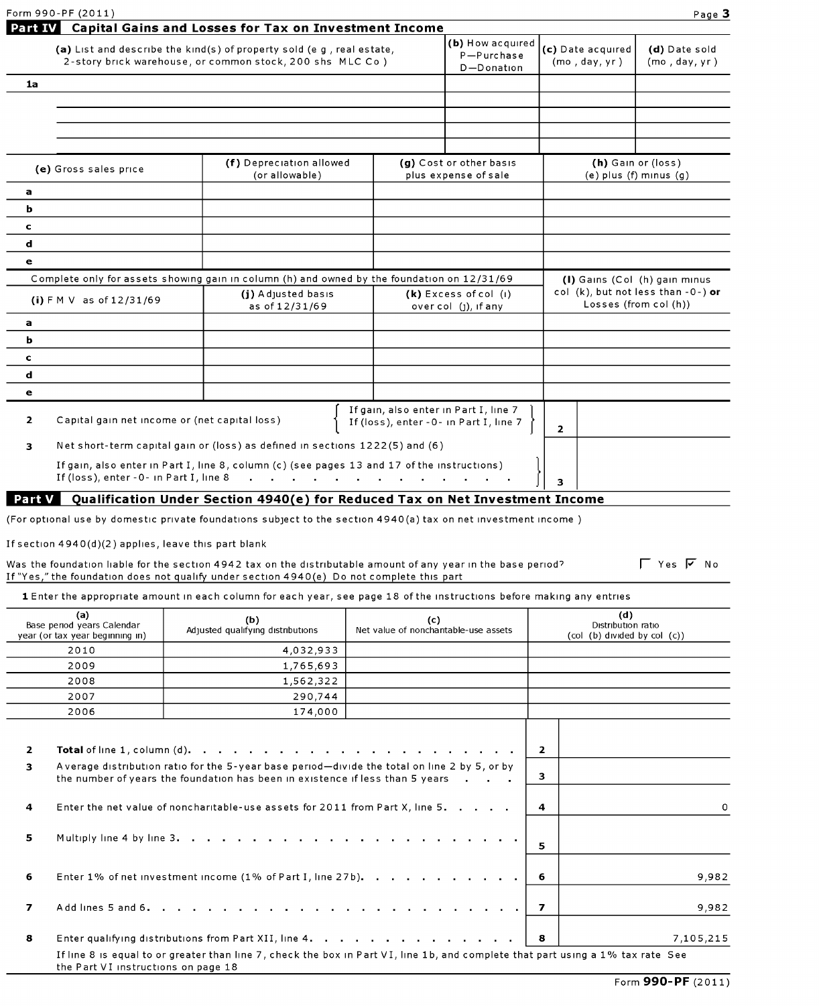| Form 990-PF (2011)                                              |                                                                                                                                    |                                                                                 |                                                                | Page 3                         |  |
|-----------------------------------------------------------------|------------------------------------------------------------------------------------------------------------------------------------|---------------------------------------------------------------------------------|----------------------------------------------------------------|--------------------------------|--|
| Part IV                                                         | Capital Gains and Losses for Tax on Investment Income                                                                              |                                                                                 |                                                                |                                |  |
|                                                                 | (a) List and describe the kind(s) of property sold (e g, real estate,<br>2-story brick warehouse, or common stock, 200 shs MLC Co) | (b) How acquired<br>P-Purchase<br>D-Donation                                    | (c) Date acquired<br>(mo, day, yr)                             | (d) Date sold<br>(mo, day, yr) |  |
| 1a                                                              |                                                                                                                                    |                                                                                 |                                                                |                                |  |
|                                                                 |                                                                                                                                    |                                                                                 |                                                                |                                |  |
|                                                                 |                                                                                                                                    |                                                                                 |                                                                |                                |  |
| (e) Gross sales price                                           | (f) Depreciation allowed<br>(or allowable)                                                                                         | (g) Cost or other basis<br>plus expense of sale                                 | (h) Gain or (loss)                                             | $(e)$ plus $(f)$ minus $(g)$   |  |
| a                                                               |                                                                                                                                    |                                                                                 |                                                                |                                |  |
| ь                                                               |                                                                                                                                    |                                                                                 |                                                                |                                |  |
| $\mathbf c$                                                     |                                                                                                                                    |                                                                                 |                                                                |                                |  |
| d                                                               |                                                                                                                                    |                                                                                 |                                                                |                                |  |
| e                                                               |                                                                                                                                    |                                                                                 |                                                                |                                |  |
|                                                                 | Complete only for assets showing gain in column (h) and owned by the foundation on 12/31/69                                        |                                                                                 | (I) Gains (Col (h) gain minus                                  |                                |  |
| (i) $FMV$ as of $12/31/69$                                      | (j) Adjusted basis<br>as of 12/31/69                                                                                               | (k) Excess of col (i)<br>over col (1), if any                                   | col (k), but not less than $-0$ -) or<br>Losses (from col (h)) |                                |  |
| a                                                               |                                                                                                                                    |                                                                                 |                                                                |                                |  |
| ь                                                               |                                                                                                                                    |                                                                                 |                                                                |                                |  |
| c                                                               |                                                                                                                                    |                                                                                 |                                                                |                                |  |
| d                                                               |                                                                                                                                    |                                                                                 |                                                                |                                |  |
| $\bullet$                                                       |                                                                                                                                    |                                                                                 |                                                                |                                |  |
| $\overline{2}$<br>Capital gain net income or (net capital loss) |                                                                                                                                    | If gain, also enter in Part I, line 7<br>If (loss), enter -0- in Part I, line 7 | $\overline{2}$                                                 |                                |  |
| $\overline{\mathbf{3}}$                                         | Net short-term capital gain or (loss) as defined in sections 1222(5) and (6)                                                       |                                                                                 |                                                                |                                |  |
| If (loss), enter -0- in Part I, line 8                          | If gain, also enter in Part I, line 8, column (c) (see pages 13 and 17 of the instructions)                                        |                                                                                 | 3                                                              |                                |  |

#### Part V Qualification Under Section 4940(e) for Reduced Tax on Net Investment Income

(For optional use by domestic private foundations subject to the section 4940(a) tax on net investment income )

If section 4940(d)(2) applies, leave this part blank

#### Was the foundation liable for the section 4942 tax on the distributable amount of any year in the base period?  $\Box$  Yes  $\Box$  No If "Yes," the foundation does not qualify under section 4940(e) Do not complete this part

1 Enter the appropriate amount in each column for each year, see page 18 of the instructions before making any entries

| (a)<br>Base period years Calendar<br>year (or tax year beginning in) |                                     | (b)<br>Adjusted qualifying distributions                                                                                                                                                                                                                                                                                                                                                                   | (c)<br>Net value of nonchantable-use assets |                                | (d)<br>Distribution ratio<br>$\left(\text{col} \left( b\right) \text{ divided by } \text{col} \left( c\right)\right)$ |
|----------------------------------------------------------------------|-------------------------------------|------------------------------------------------------------------------------------------------------------------------------------------------------------------------------------------------------------------------------------------------------------------------------------------------------------------------------------------------------------------------------------------------------------|---------------------------------------------|--------------------------------|-----------------------------------------------------------------------------------------------------------------------|
|                                                                      | 2010                                | 4,032,933                                                                                                                                                                                                                                                                                                                                                                                                  |                                             |                                |                                                                                                                       |
|                                                                      | 2009                                | 1,765,693                                                                                                                                                                                                                                                                                                                                                                                                  |                                             |                                |                                                                                                                       |
|                                                                      | 2008                                | 1,562,322                                                                                                                                                                                                                                                                                                                                                                                                  |                                             |                                |                                                                                                                       |
|                                                                      | 2007                                | 290,744                                                                                                                                                                                                                                                                                                                                                                                                    |                                             |                                |                                                                                                                       |
|                                                                      | 2006                                | 174,000                                                                                                                                                                                                                                                                                                                                                                                                    |                                             |                                |                                                                                                                       |
| $\overline{2}$<br>3<br>4<br>5                                        |                                     | <b>Total</b> of line 1, column $(d)$ , $\cdots$ , $\cdots$ , $\cdots$ , $\cdots$ , $\cdots$ , $\cdots$ , $\cdots$ , $\cdots$ , $\cdots$<br>A verage distribution ratio for the 5-year base period-divide the total on line 2 by 5, or by<br>the number of years the foundation has been in existence if less than 5 years<br>Enter the net value of noncharitable-use assets for 2011 from Part X, line 5. |                                             | $\overline{2}$<br>3<br>4<br>5. | $\Omega$                                                                                                              |
| 6                                                                    |                                     | Enter 1% of net investment income (1% of Part I, line 27b). 6                                                                                                                                                                                                                                                                                                                                              |                                             |                                | 9,982                                                                                                                 |
| $\overline{\mathbf{z}}$                                              |                                     |                                                                                                                                                                                                                                                                                                                                                                                                            |                                             | $\overline{ }$                 | 9,982                                                                                                                 |
| 8                                                                    |                                     |                                                                                                                                                                                                                                                                                                                                                                                                            |                                             | <b>8</b>                       | 7,105,215                                                                                                             |
|                                                                      | the Part VI instructions on page 18 | If line 8 is equal to or greater than line 7, check the box in Part VI, line 1b, and complete that part using a 1% tax rate See                                                                                                                                                                                                                                                                            |                                             |                                |                                                                                                                       |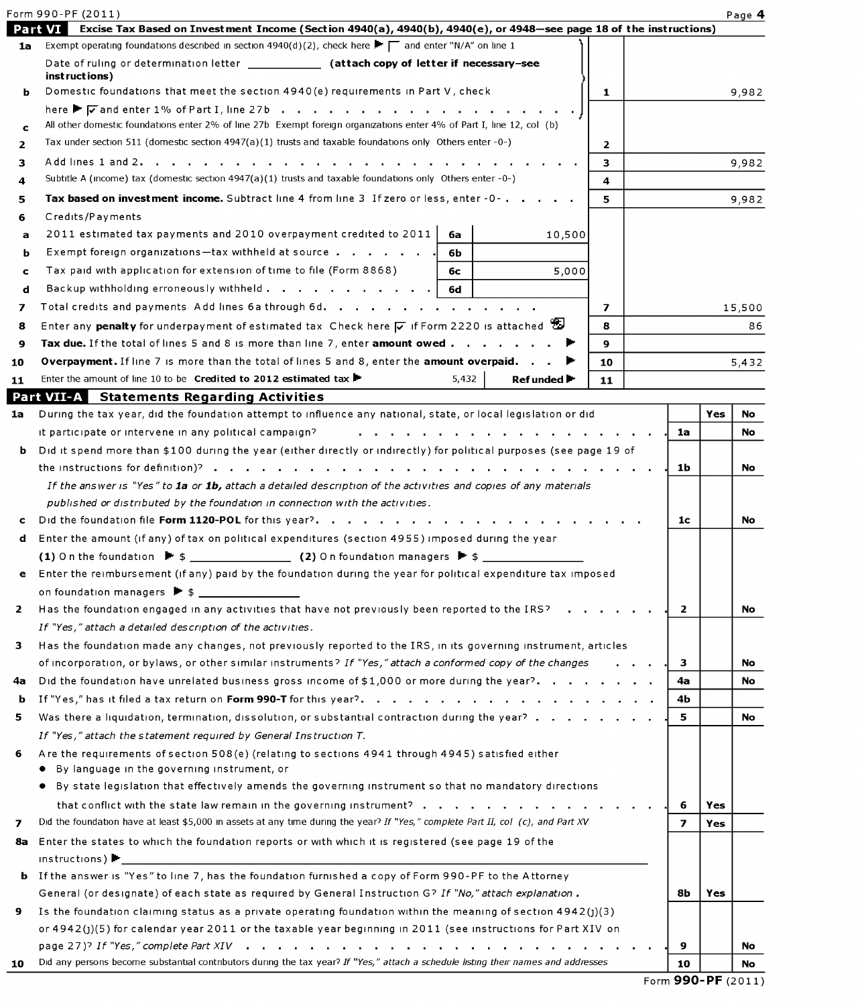|    | Form 990-PF (2011)                                                                                                                              |              |  |                         |     | Page 4 |
|----|-------------------------------------------------------------------------------------------------------------------------------------------------|--------------|--|-------------------------|-----|--------|
|    | Excise Tax Based on Investment Income (Section 4940(a), 4940(b), 4940(e), or 4948-see page 18 of the instructions)<br><b>Part VI</b>            |              |  |                         |     |        |
| 1a | Exempt operating foundations described in section 4940(d)(2), check here $\blacktriangleright \top$ and enter "N/A" on line 1                   |              |  |                         |     |        |
|    | Date of ruling or determination letter ______________ (attach copy of letter if necessary-see                                                   |              |  |                         |     |        |
| ь  | instructions)<br>Domestic foundations that meet the section 4940(e) requirements in Part V, check                                               | 1            |  |                         |     | 9,982  |
|    | here $\blacktriangleright$ $\sqrt{\phantom{a}}$ and enter 1% of Part I, line 27b                                                                |              |  |                         |     |        |
| c  | All other domestic foundations enter 2% of line 27b Exempt foreign organizations enter 4% of Part I, line 12, col (b)                           |              |  |                         |     |        |
| 2  | Tax under section 511 (domestic section 4947(a)(1) trusts and taxable foundations only Others enter -0-)                                        | $\mathbf{2}$ |  |                         |     |        |
| 3  | Add lines 1 and 2                                                                                                                               | 3            |  |                         |     | 9,982  |
| 4  | Subtitle A (income) tax (domestic section $4947(a)(1)$ trusts and taxable foundations only Others enter -0-)                                    | 4            |  |                         |     |        |
| 5  | Tax based on investment income. Subtract line 4 from line 3 If zero or less, enter -0-                                                          | 5.           |  |                         |     | 9,982  |
| 6  | Credits/Payments                                                                                                                                |              |  |                         |     |        |
| а  | 2011 estimated tax payments and 2010 overpayment credited to 2011<br>10,500<br>6a                                                               |              |  |                         |     |        |
| ь  | Exempt foreign organizations—tax withheld at source $\cdots$ $\cdots$ $\cdots$<br>6b.                                                           |              |  |                         |     |        |
| c  | Tax paid with application for extension of time to file (Form 8868)<br>5,000<br>6с                                                              |              |  |                         |     |        |
| d  | Backup withholding erroneously withheld<br>- 6d                                                                                                 |              |  |                         |     |        |
| 7  | Total credits and payments Add lines 6 a through 6 d.                                                                                           | 7            |  |                         |     | 15,500 |
| 8  | Enter any penalty for underpayment of estimated tax Check here $\overline{v}$ if Form 2220 is attached                                          | 8            |  |                         |     | 86     |
| 9  | Tax due. If the total of lines 5 and 8 is more than line 7, enter amount owed $\blacktriangleright$                                             | 9            |  |                         |     |        |
| 10 | <b>Overpayment.</b> If line 7 is more than the total of lines 5 and 8, enter the <b>amount overpaid.</b> $\blacktriangleright$                  | 10           |  |                         |     | 5,432  |
| 11 | Enter the amount of line 10 to be <b>Credited to 2012 estimated tax</b><br>5,432<br>Ref unded ►                                                 | 11           |  |                         |     |        |
|    | <b>Part VII-A</b> Statements Regarding Activities                                                                                               |              |  |                         |     |        |
| 1a | During the tax year, did the foundation attempt to influence any national, state, or local legislation or did                                   |              |  |                         | Yes | No.    |
|    | it participate or intervene in any political campaign?                                                                                          |              |  | 1a                      |     | No     |
| b. | Did it spend more than \$100 during the year (either directly or indirectly) for political purposes (see page 19 of                             |              |  |                         |     |        |
|    |                                                                                                                                                 |              |  | 1b                      |     | No     |
|    | If the answer is "Yes" to la or 1b, attach a detailed description of the activities and copies of any materials                                 |              |  |                         |     |        |
|    | published or distributed by the foundation in connection with the activities.                                                                   |              |  |                         |     |        |
|    | Did the foundation file Form 1120-POL for this year?                                                                                            |              |  |                         |     | No.    |
| d  | Enter the amount (if any) of tax on political expenditures (section 4955) imposed during the year                                               |              |  |                         |     |        |
|    | (1) On the foundation $\blacktriangleright$ \$ $\qquad \qquad$ (2) On foundation managers $\blacktriangleright$ \$ $\qquad \qquad$              |              |  |                         |     |        |
|    | Enter the reimbursement (if any) paid by the foundation during the year for political expenditure tax imposed                                   |              |  |                         |     |        |
|    |                                                                                                                                                 |              |  |                         |     |        |
| 2  | Has the foundation engaged in any activities that have not previously been reported to the IRS?                                                 |              |  | $\mathbf{2}$            |     | No.    |
|    | If "Yes," attach a detailed description of the activities.                                                                                      |              |  |                         |     |        |
| 3  | Has the foundation made any changes, not previously reported to the IRS, in its governing instrument, articles                                  |              |  |                         |     |        |
|    | of incorporation, or bylaws, or other similar instruments? If "Yes," attach a conformed copy of the changes                                     |              |  | з                       |     | No     |
| 4a | Did the foundation have unrelated business gross income of \$1,000 or more during the year?                                                     |              |  | 4a                      |     | No.    |
| b  |                                                                                                                                                 |              |  | 4Ь                      |     |        |
| 5  | Was there a liquidation, termination, dissolution, or substantial contraction during the year?                                                  |              |  | 5                       |     | No.    |
|    | If "Yes," attach the statement required by General Instruction T.                                                                               |              |  |                         |     |        |
| 6  | Are the requirements of section 508(e) (relating to sections 4941 through 4945) satisfied either<br>By language in the governing instrument, or |              |  |                         |     |        |
|    | By state legislation that effectively amends the governing instrument so that no mandatory directions                                           |              |  |                         |     |        |
|    |                                                                                                                                                 |              |  | 6                       | Yes |        |
| 7  | Did the foundation have at least \$5,000 in assets at any time during the year? If "Yes," complete Part II, col (c), and Part XV                |              |  | $\overline{\mathbf{z}}$ | Yes |        |
| 8а | Enter the states to which the foundation reports or with which it is registered (see page 19 of the                                             |              |  |                         |     |        |
|    | instructions)                                                                                                                                   |              |  |                         |     |        |
| ь  | If the answer is "Yes" to line 7, has the foundation furnished a copy of Form 990-PF to the Attorney                                            |              |  |                         |     |        |
|    | General (or designate) of each state as required by General Instruction G? If "No," attach explanation.                                         |              |  |                         |     |        |
| 9  | Is the foundation claiming status as a private operating foundation within the meaning of section $4942(j)(3)$                                  |              |  | 8b                      | Yes |        |
|    | or 4942(j)(5) for calendar year 2011 or the taxable year beginning in 2011 (see instructions for Part XIV on                                    |              |  |                         |     |        |
|    |                                                                                                                                                 |              |  | 9                       |     | No     |
| 10 | Did any persons become substantial contributors during the tax year? If "Yes," attach a schedule listing their names and addresses              |              |  | 10                      |     | No     |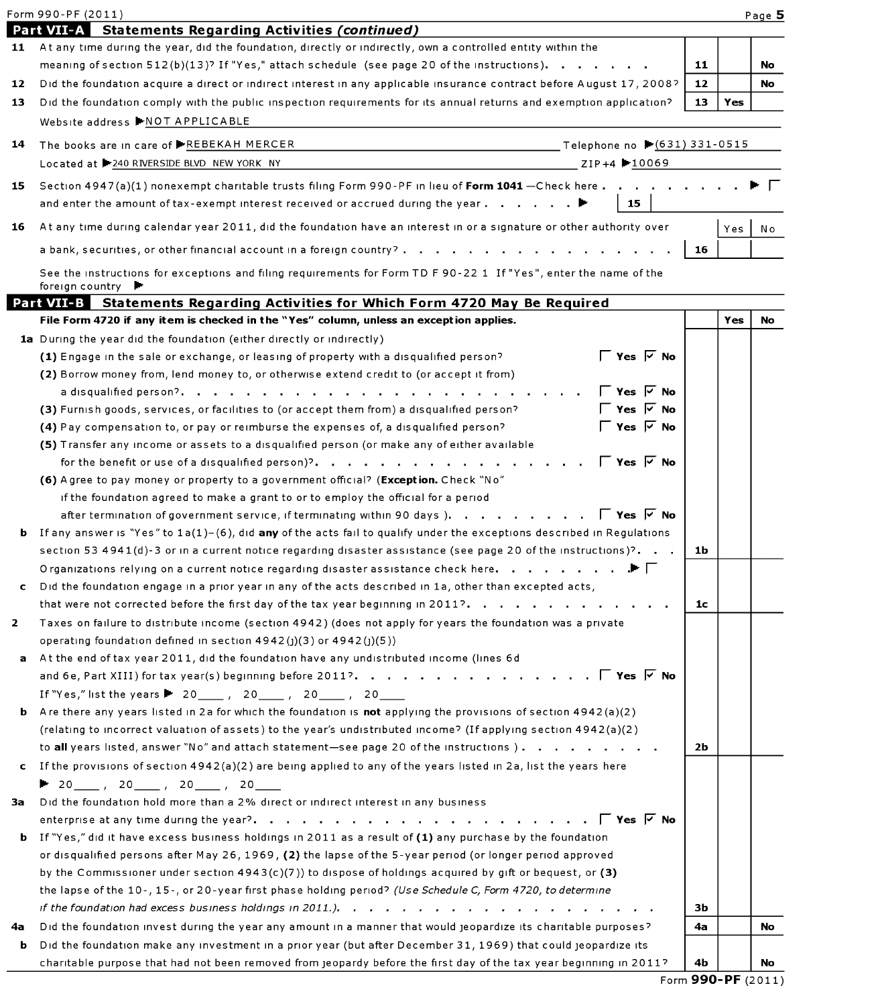|    | Form 990-PF (2011)                                                                                                                                                                                                  |    |            | Page 5 |
|----|---------------------------------------------------------------------------------------------------------------------------------------------------------------------------------------------------------------------|----|------------|--------|
|    | Part VII-A Statements Regarding Activities (continued)                                                                                                                                                              |    |            |        |
| 11 | At any time during the year, did the foundation, directly or indirectly, own a controlled entity within the                                                                                                         |    |            |        |
|    | meaning of section $512(b)(13)$ ? If "Yes," attach schedule (see page 20 of the instructions) $\cdots$ $\cdots$                                                                                                     | 11 |            | No     |
| 12 | Did the foundation acquire a direct or indirect interest in any applicable insurance contract before August 17, 2008?                                                                                               | 12 |            | No     |
| 13 | Did the foundation comply with the public inspection requirements for its annual returns and exemption application?<br>Website address ▶NOT APPLICABLE                                                              | 13 | Yes        |        |
| 14 | The books are in care of ▶REBEKAH MERCER<br>────────────────────Telephone no ▶ (631) 331-0515                                                                                                                       |    |            |        |
|    | Located at ▶240 RIVERSIDE BLVD NEW YORK NY<br>$ZIP+4$ -10069                                                                                                                                                        |    |            |        |
|    |                                                                                                                                                                                                                     |    |            |        |
| 15 | Section 4947(a)(1) nonexempt charitable trusts filing Form 990-PF in lieu of Form 1041 - Check here<br>and enter the amount of tax-exempt interest received or accrued during the year. $\blacktriangleright$<br>15 |    |            |        |
| 16 | At any time during calendar year 2011, did the foundation have an interest in or a signature or other authority over                                                                                                |    | Yes        | N o    |
|    | a bank, securities, or other financial account in a foreign country?                                                                                                                                                | 16 |            |        |
|    | See the instructions for exceptions and filing requirements for Form TD F90-22 1 If "Yes", enter the name of the<br>foreign country ▶                                                                               |    |            |        |
|    | Part VII-3 Statements Regarding Activities for Which Form 4720 May Be Required                                                                                                                                      |    |            |        |
|    | File Form 4720 if any item is checked in the "Yes" column, unless an exception applies.                                                                                                                             |    | <b>Yes</b> | No     |
|    | 1a During the year did the foundation (either directly or indirectly)                                                                                                                                               |    |            |        |
|    | $\Gamma$ Yes $\overline{V}$ No<br>(1) Engage in the sale or exchange, or leasing of property with a disqualified person?                                                                                            |    |            |        |
|    | (2) Borrow money from, lend money to, or otherwise extend credit to (or accept it from)                                                                                                                             |    |            |        |
|    | $\Gamma$ Yes $\overline{V}$ No                                                                                                                                                                                      |    |            |        |
|    | ΓYes ∇ No<br>(3) Furnish goods, services, or facilities to (or accept them from) a disqualified person?                                                                                                             |    |            |        |
|    | $\Gamma$ Yes $\overline{V}$ No<br>(4) Pay compensation to, or pay or reimburse the expenses of, a disqualified person?                                                                                              |    |            |        |
|    | (5) Transfer any income or assets to a disqualified person (or make any of either available                                                                                                                         |    |            |        |
|    | $\Gamma$ Yes $\overline{V}$ No<br>for the benefit or use of a disqualified person)?.                                                                                                                                |    |            |        |
|    | (6) A gree to pay money or property to a government official? (Exception. Check "No"                                                                                                                                |    |            |        |
|    | if the foundation agreed to make a grant to or to employ the official for a period                                                                                                                                  |    |            |        |
|    | after termination of government service, if terminating within 90 days). $\Gamma$ Yes $\nabla$ No                                                                                                                   |    |            |        |
|    | <b>b</b> If any answer is "Yes" to $1a(1) - (6)$ , did any of the acts fail to qualify under the exceptions described in Regulations                                                                                |    |            |        |
|    | section 53 4941(d)-3 or in a current notice regarding disaster assistance (see page 20 of the instructions)?                                                                                                        | 1b |            |        |
|    | Organizations relying on a current notice regarding disaster assistance check here.<br>$\mathbf{F}$ .                                                                                                               |    |            |        |
| c  | Did the foundation engage in a prior year in any of the acts described in 1a, other than excepted acts,                                                                                                             |    |            |        |
|    | that were not corrected before the first day of the tax year beginning in 2011?.                                                                                                                                    | 1c |            |        |
| 2  | Taxes on failure to distribute income (section 4942) (does not apply for years the foundation was a private                                                                                                         |    |            |        |
|    | operating foundation defined in section $4942(j)(3)$ or $4942(j)(5)$ )                                                                                                                                              |    |            |        |
| a  | At the end of tax year 2011, did the foundation have any undistributed income (lines 6d                                                                                                                             |    |            |        |
|    |                                                                                                                                                                                                                     |    |            |        |
|    | If "Yes," list the years 20______, 20_____, 20_____, 20_____                                                                                                                                                        |    |            |        |
| ь  | Are there any years listed in 2a for which the foundation is not applying the provisions of section $4942(a)(2)$                                                                                                    |    |            |        |
|    | (relating to incorrect valuation of assets) to the year's undistributed income? (If applying section 4942(a)(2)                                                                                                     |    |            |        |
|    | to all years listed, answer "No" and attach statement-see page 20 of the instructions).                                                                                                                             | 2Ь |            |        |
| c. | If the provisions of section $4942(a)(2)$ are being applied to any of the years listed in 2a, list the years here                                                                                                   |    |            |        |
|    | ▶ 20____,20____,20____,20_____                                                                                                                                                                                      |    |            |        |
| Зa | Did the foundation hold more than a 2% direct or indirect interest in any business                                                                                                                                  |    |            |        |
|    | <b>b</b> If "Yes," did it have excess business holdings in 2011 as a result of (1) any purchase by the foundation                                                                                                   |    |            |        |
|    | or disqualified persons after May 26, 1969, (2) the lapse of the 5-year period (or longer period approved                                                                                                           |    |            |        |
|    | by the Commissioner under section $4943(c)(7)$ ) to dispose of holdings acquired by gift or bequest, or (3)                                                                                                         |    |            |        |
|    | the lapse of the 10-, 15-, or 20-year first phase holding period? (Use Schedule C, Form 4720, to determine                                                                                                          |    |            |        |
|    |                                                                                                                                                                                                                     | зь |            |        |
| 4a | Did the foundation invest during the year any amount in a manner that would jeopardize its charitable purposes?                                                                                                     | 4a |            | No     |
| b  | Did the foundation make any investment in a prior year (but after December 31, 1969) that could jeopardize its                                                                                                      |    |            |        |
|    | charitable purpose that had not been removed from jeopardy before the first day of the tax year beginning in 2011?                                                                                                  | 4Ь |            | No     |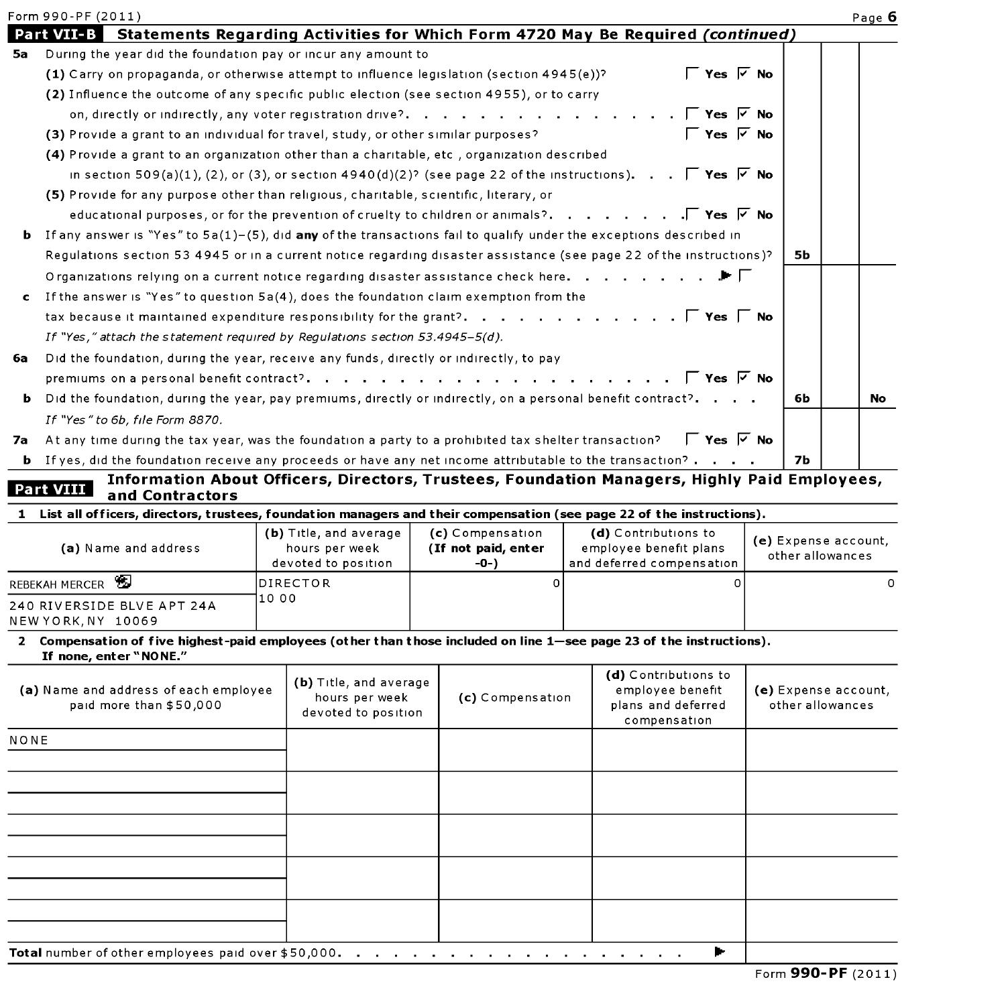|              | Form 990-PF (2011)                                                                                                                             |                                       |                                         |                                                                                                          |                      |                  | Page 6 |
|--------------|------------------------------------------------------------------------------------------------------------------------------------------------|---------------------------------------|-----------------------------------------|----------------------------------------------------------------------------------------------------------|----------------------|------------------|--------|
|              | <b>Part VII-B</b>                                                                                                                              |                                       |                                         | Statements Regarding Activities for Which Form 4720 May Be Required (continued)                          |                      |                  |        |
| 5а           | During the year did the foundation pay or incur any amount to                                                                                  |                                       |                                         |                                                                                                          |                      |                  |        |
|              | (1) Carry on propaganda, or otherwise attempt to influence legislation (section $4945(e)$ )?                                                   |                                       |                                         | $\Gamma$ Yes $\overline{V}$ No                                                                           |                      |                  |        |
|              | (2) Influence the outcome of any specific public election (see section 4955), or to carry                                                      |                                       |                                         |                                                                                                          |                      |                  |        |
|              | on, directly or indirectly, any voter registration drive?                                                                                      |                                       |                                         | $\Gamma$ Yes $\triangledown$ No                                                                          |                      |                  |        |
|              | (3) Provide a grant to an individual for travel, study, or other similar purposes?                                                             |                                       |                                         | $\Gamma$ Yes $\overline{V}$ No                                                                           |                      |                  |        |
|              | (4) Provide a grant to an organization other than a charitable, etc, organization described                                                    |                                       |                                         |                                                                                                          |                      |                  |        |
|              | in section 509(a)(1), (2), or (3), or section 4940(d)(2)? (see page 22 of the instructions). $\Box$ Yes $\Box$ No                              |                                       |                                         |                                                                                                          |                      |                  |        |
|              | (5) Provide for any purpose other than religious, charitable, scientific, literary, or                                                         |                                       |                                         |                                                                                                          |                      |                  |        |
|              |                                                                                                                                                |                                       |                                         | educational purposes, or for the prevention of cruelty to children or animals?. $\Gamma$ Yes $\nabla$ No |                      |                  |        |
| ь            | If any answer is "Yes" to $5a(1)$ -(5), did any of the transactions fail to qualify under the exceptions described in                          |                                       |                                         |                                                                                                          |                      |                  |        |
|              | Requiations section 53 4945 or in a current notice regarding disaster assistance (see page 22 of the instructions)?                            |                                       |                                         |                                                                                                          |                      | 5b               |        |
|              | Organizations relying on a current notice regarding disaster assistance check here. $\ldots$ , $\ldots$ , $\blacktriangleright$                |                                       |                                         |                                                                                                          |                      |                  |        |
| $\mathbf{c}$ | If the answer is "Yes" to question 5a(4), does the foundation claim exemption from the                                                         |                                       |                                         |                                                                                                          |                      |                  |        |
|              |                                                                                                                                                |                                       |                                         |                                                                                                          |                      |                  |        |
|              | If "Yes," attach the statement required by Regulations section $53.4945 - 5(d)$ .                                                              |                                       |                                         |                                                                                                          |                      |                  |        |
| 6a           | Did the foundation, during the year, receive any funds, directly or indirectly, to pay                                                         |                                       |                                         |                                                                                                          |                      |                  |        |
|              |                                                                                                                                                |                                       |                                         |                                                                                                          |                      |                  |        |
| ь            | Did the foundation, during the year, pay premiums, directly or indirectly, on a personal benefit contract?.                                    |                                       |                                         |                                                                                                          |                      | 6Ь.              | No I   |
|              | If "Yes" to 6b, file Form 8870.                                                                                                                |                                       |                                         |                                                                                                          |                      |                  |        |
|              | 7a At any time during the tax year, was the foundation a party to a prohibited tax shelter transaction?                                        |                                       |                                         | $\Gamma$ Yes $\overline{V}$ No                                                                           |                      |                  |        |
|              | <b>b</b> If yes, did the foundation receive any proceeds or have any net income attributable to the transaction? $\cdot$ $\cdot$ $\cdot$       |                                       |                                         |                                                                                                          |                      | 7Ь               |        |
|              |                                                                                                                                                |                                       |                                         | Information About Officers, Directors, Trustees, Foundation Managers, Highly Paid Employees,             |                      |                  |        |
|              | Part VIII<br>and Contractors                                                                                                                   |                                       |                                         |                                                                                                          |                      |                  |        |
|              | 1 List all officers, directors, trustees, foundation managers and their compensation (see page 22 of the instructions).                        |                                       |                                         |                                                                                                          |                      |                  |        |
|              | (a) Name and address                                                                                                                           | (b) Title, and average                | (c) Compensation<br>(If not paid, enter | (d) Contributions to<br>employee benefit plans                                                           | (e) Expense account, |                  |        |
|              |                                                                                                                                                | hours per week<br>devoted to position | -0-)                                    | and deferred compensation                                                                                |                      | other allowances |        |
|              | REBEKAH MERCER                                                                                                                                 | <b>DIRECTOR</b>                       | $\Omega$                                | 0                                                                                                        |                      |                  | 0      |
|              | 240 RIVERSIDE BLVE APT 24A<br>NEW YORK, NY 10069                                                                                               | 10 00                                 |                                         |                                                                                                          |                      |                  |        |
|              | 2 Compensation of five highest-paid employees (other than those included on line 1—see page 23 of the instructions).<br>If none, enter "NONE." |                                       |                                         |                                                                                                          |                      |                  |        |
|              |                                                                                                                                                |                                       |                                         |                                                                                                          |                      |                  |        |

| (a) Name and address of each employee<br>paid more than \$50,000 | (b) Title, and average<br>hours per week<br>devoted to position | (c) Compensation | (d) Contributions to<br>employee benefit<br>plans and deferred<br>compensation | (e) Expense account,<br>other allowances |  |  |  |  |  |
|------------------------------------------------------------------|-----------------------------------------------------------------|------------------|--------------------------------------------------------------------------------|------------------------------------------|--|--|--|--|--|
| NONE                                                             |                                                                 |                  |                                                                                |                                          |  |  |  |  |  |
|                                                                  |                                                                 |                  |                                                                                |                                          |  |  |  |  |  |
|                                                                  |                                                                 |                  |                                                                                |                                          |  |  |  |  |  |
|                                                                  |                                                                 |                  |                                                                                |                                          |  |  |  |  |  |
|                                                                  |                                                                 |                  |                                                                                |                                          |  |  |  |  |  |
| ►<br>Total number of other employees paid over \$50,000.         |                                                                 |                  |                                                                                |                                          |  |  |  |  |  |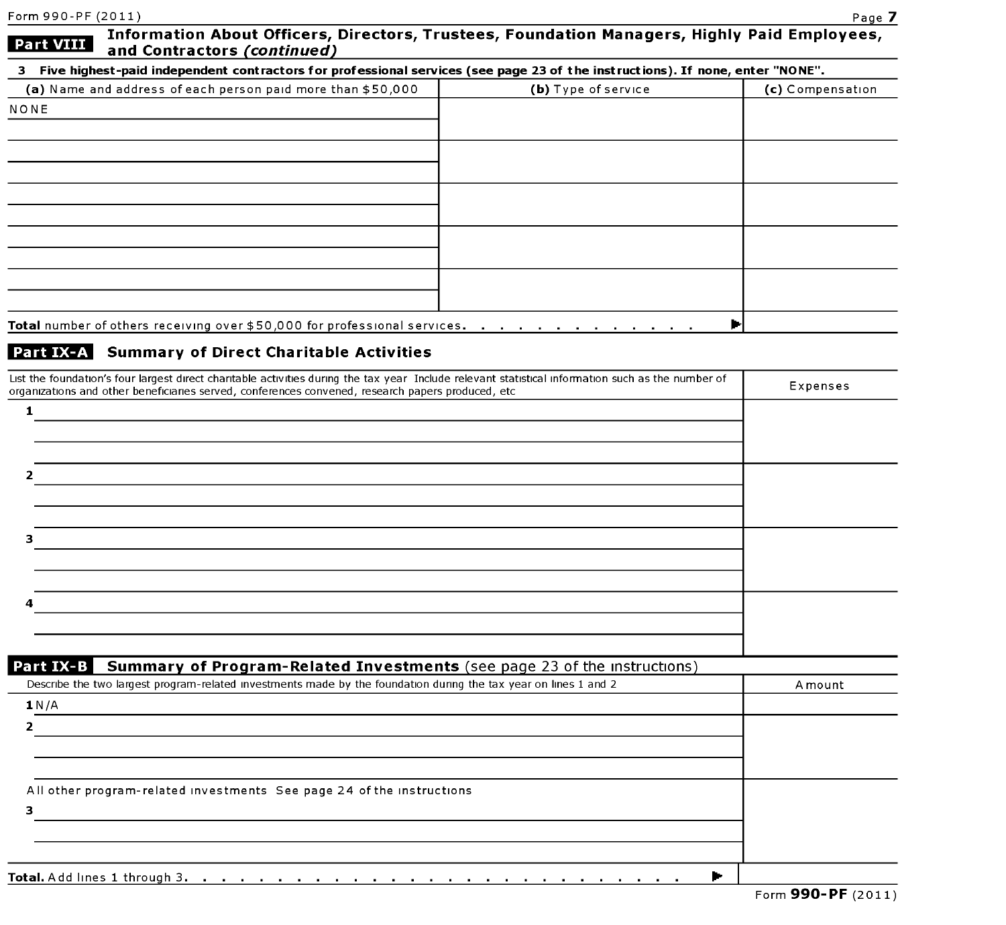| Information About Officers, Directors, Trustees, Foundation Managers, Highly Paid Employees,<br>Part VIII<br>and Contractors (continued)           |                     |                  |
|----------------------------------------------------------------------------------------------------------------------------------------------------|---------------------|------------------|
| 3 Five highest-paid independent contractors for professional services (see page 23 of the instructions). If none, enter "NONE".                    |                     |                  |
| (a) Name and address of each person paid more than \$50,000                                                                                        | (b) Type of service | (c) Compensation |
| NONE                                                                                                                                               |                     |                  |
|                                                                                                                                                    |                     |                  |
|                                                                                                                                                    |                     |                  |
|                                                                                                                                                    |                     |                  |
|                                                                                                                                                    |                     |                  |
|                                                                                                                                                    |                     |                  |
|                                                                                                                                                    |                     |                  |
|                                                                                                                                                    |                     |                  |
|                                                                                                                                                    |                     |                  |
|                                                                                                                                                    |                     |                  |
| Total number of others receiving over \$50,000 for professional services.                                                                          | Þ                   |                  |
|                                                                                                                                                    |                     |                  |
| Part IX-A Summary of Direct Charitable Activities                                                                                                  |                     |                  |
| List the foundation's four largest direct charitable activities during the tax year Include relevant statistical information such as the number of |                     | Expenses         |
| organizations and other beneficiaries served, conferences convened, research papers produced, etc                                                  |                     |                  |
| 1                                                                                                                                                  |                     |                  |
|                                                                                                                                                    |                     |                  |
|                                                                                                                                                    |                     |                  |
|                                                                                                                                                    |                     |                  |
|                                                                                                                                                    |                     |                  |
|                                                                                                                                                    |                     |                  |
| з                                                                                                                                                  |                     |                  |
|                                                                                                                                                    |                     |                  |
|                                                                                                                                                    |                     |                  |
|                                                                                                                                                    |                     |                  |
|                                                                                                                                                    |                     |                  |
|                                                                                                                                                    |                     |                  |
| Part IX-B<br><b>Summary of Program-Related Investments</b> (see page 23 of the instructions)                                                       |                     |                  |
| Describe the two largest program-related investments made by the foundation during the tax year on lines 1 and 2                                   |                     | A mount          |
| 1 N/A                                                                                                                                              |                     |                  |
| 2                                                                                                                                                  |                     |                  |
|                                                                                                                                                    |                     |                  |
|                                                                                                                                                    |                     |                  |
| All other program-related investments See page 24 of the instructions                                                                              |                     |                  |
| з                                                                                                                                                  |                     |                  |
|                                                                                                                                                    |                     |                  |
|                                                                                                                                                    |                     |                  |
|                                                                                                                                                    | ►                   |                  |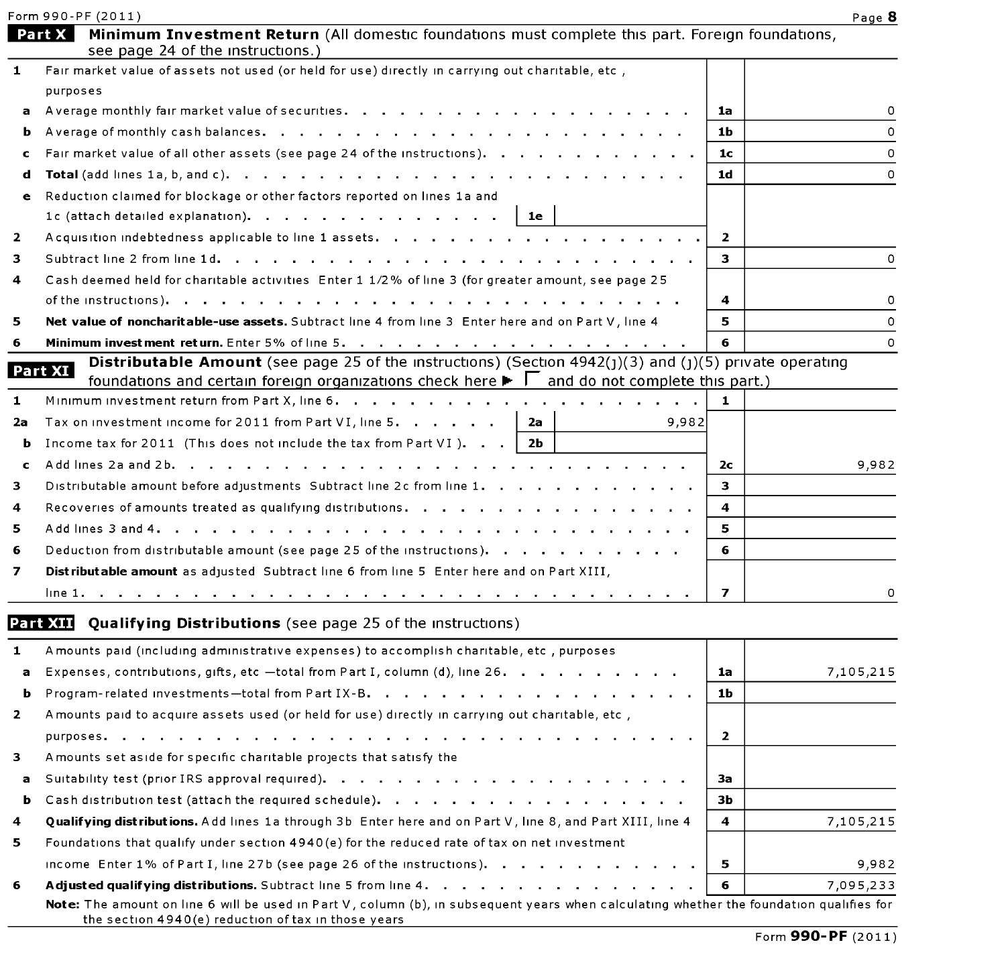Form 990-PF  $(2011)$  Page  ${\bf 8}$ 

|             | Minimum Investment Return (All domestic foundations must complete this part. Foreign foundations,<br>Part X<br>see page 24 of the instructions.)                                                                                           |                |           |
|-------------|--------------------------------------------------------------------------------------------------------------------------------------------------------------------------------------------------------------------------------------------|----------------|-----------|
| 1           | Fair market value of assets not used (or held for use) directly in carrying out charitable, etc,                                                                                                                                           |                |           |
|             | purposes                                                                                                                                                                                                                                   |                |           |
|             |                                                                                                                                                                                                                                            | 1a             | 0         |
| b           |                                                                                                                                                                                                                                            | 1Ь             | $\Omega$  |
| c           | Fair market value of all other assets (see page 24 of the instructions).                                                                                                                                                                   | 1 <sub>c</sub> | 0         |
| d           |                                                                                                                                                                                                                                            | 1d             | $\Omega$  |
| е           | Reduction claimed for blockage or other factors reported on lines 1a and                                                                                                                                                                   |                |           |
|             | 1c (attach detailed explanation). $\cdots$<br>1e                                                                                                                                                                                           |                |           |
| 2           |                                                                                                                                                                                                                                            | 2              |           |
| 3           |                                                                                                                                                                                                                                            | з.             | 0         |
| 4           | Cash deemed held for charitable activities Enter 1 1/2% of line 3 (for greater amount, see page 25                                                                                                                                         |                |           |
|             |                                                                                                                                                                                                                                            | 4              | 0         |
| 5           | Net value of noncharitable-use assets. Subtract line 4 from line 3 Enter here and on Part V, line 4                                                                                                                                        | 5              | 0         |
| 6           |                                                                                                                                                                                                                                            | 6              | $\Omega$  |
|             | <b>Distributable Amount</b> (see page 25 of the instructions) (Section $4942(1)(3)$ and (1)(5) private operating<br>Part XI                                                                                                                |                |           |
|             | foundations and certain foreign organizations check here $\blacktriangleright \top$ and do not complete this part.)                                                                                                                        |                |           |
| 1           |                                                                                                                                                                                                                                            | 1              |           |
| 2a          | Tax on investment income for 2011 from Part VI, line 5.<br>2a<br>9,982                                                                                                                                                                     |                |           |
| b           | Income tax for 2011 (This does not include the tax from Part VI). $\blacksquare$ .<br>2Ь                                                                                                                                                   |                |           |
| $\mathbf c$ |                                                                                                                                                                                                                                            | 2с             | 9,982     |
| з           | Distributable amount before adjustments Subtract line 2c from line 1.                                                                                                                                                                      | 3.             |           |
| 4           | Recoveries of amounts treated as qualifying distributions.                                                                                                                                                                                 | 4              |           |
| 5           |                                                                                                                                                                                                                                            | 5              |           |
| 6           | Deduction from distributable amount (see page 25 of the instructions).                                                                                                                                                                     | 6              |           |
| 7           | Distributable amount as adjusted Subtract line 6 from line 5 Enter here and on Part XIII,                                                                                                                                                  |                |           |
|             |                                                                                                                                                                                                                                            | 7              | 0         |
|             | <b>Part XIII</b> Qualifying Distributions (see page 25 of the instructions)                                                                                                                                                                |                |           |
| 1           | A mounts paid (including administrative expenses) to accomplish charitable, etc., purposes                                                                                                                                                 |                |           |
| a           | Expenses, contributions, gifts, etc -total from Part I, column (d), line 26.                                                                                                                                                               | 1a             | 7,105,215 |
|             | <b>b</b> Program-related investments-total from Part IX-B.                                                                                                                                                                                 | 1 <b>b</b>     |           |
| 2           | A mounts paid to acquire assets used (or held for use) directly in carrying out charitable, etc,                                                                                                                                           |                |           |
|             | purposes.<br>the company of the company of the company of the company of the company of the company of the company of the company of the company of the company of the company of the company of the company of the company of the company | $\overline{2}$ |           |
| 3           | A mounts set aside for specific charitable projects that satisfy the                                                                                                                                                                       |                |           |
| a           |                                                                                                                                                                                                                                            | За             |           |
| ь           |                                                                                                                                                                                                                                            | зь             |           |
| 4           | Qualifying distributions. Add lines 1a through 3b Enter here and on Part V, line 8, and Part XIII, line 4                                                                                                                                  | 4              | 7,105,215 |
| 5           | Foundations that qualify under section 4940(e) for the reduced rate of tax on net investment                                                                                                                                               |                |           |
|             | income Enter $1\%$ of Part I, line 27b (see page 26 of the instructions).                                                                                                                                                                  | 5              | 9,982     |
| 6           | Adjusted qualifying distributions. Subtract line 5 from line 4.                                                                                                                                                                            | 6              | 7,095,233 |
|             | Note: The amount on line 6 will be used in Part V, column (b), in subsequent years when calculating whether the foundation qualifies for<br>the section 4940(e) reduction of tax in those years                                            |                |           |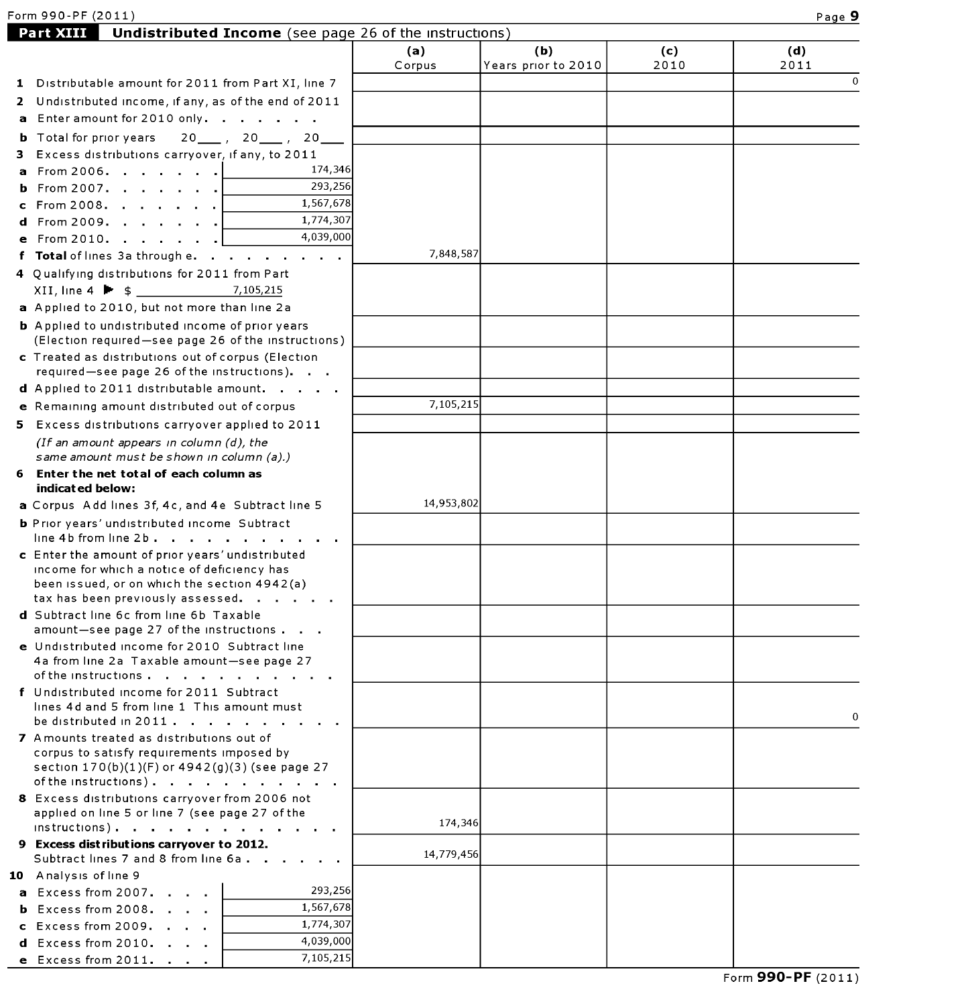| Form 990-PF (2011) | . .<br>аас |
|--------------------|------------|
|--------------------|------------|

|                                                                                                                                   | (a)        | (b)                 | (c)  | (d)                  |
|-----------------------------------------------------------------------------------------------------------------------------------|------------|---------------------|------|----------------------|
|                                                                                                                                   | Corpus     | Years prior to 2010 | 2010 | 2011<br>$\mathbf{0}$ |
| 1 Distributable amount for 2011 from Part XI, line 7                                                                              |            |                     |      |                      |
| 2 Undistributed income, if any, as of the end of 2011<br>a Enter amount for 2010 only.                                            |            |                     |      |                      |
|                                                                                                                                   |            |                     |      |                      |
| $20$ , $20$ , $20$<br><b>b</b> Total for prior years                                                                              |            |                     |      |                      |
| 3 Excess distributions carryover, if any, to 2011<br>174,346<br><b>a</b> From 2006.                                               |            |                     |      |                      |
| 293,256<br><b>b</b> From 2007.                                                                                                    |            |                     |      |                      |
| 1,567,678<br>c From 2008. $\vert$                                                                                                 |            |                     |      |                      |
| 1,774,307<br>d From 2009.                                                                                                         |            |                     |      |                      |
| 4,039,000<br>e From 2010.                                                                                                         |            |                     |      |                      |
| f Total of lines 3a through e.                                                                                                    | 7,848,587  |                     |      |                      |
| 4 Qualifying distributions for 2011 from Part                                                                                     |            |                     |      |                      |
| 7,105,215                                                                                                                         |            |                     |      |                      |
| a Applied to 2010, but not more than line 2a                                                                                      |            |                     |      |                      |
| <b>b</b> Applied to undistributed income of prior years                                                                           |            |                     |      |                      |
| (Election required-see page 26 of the instructions)                                                                               |            |                     |      |                      |
| c Treated as distributions out of corpus (Election                                                                                |            |                     |      |                      |
| required-see page 26 of the instructions).                                                                                        |            |                     |      |                      |
| d Applied to 2011 distributable amount.                                                                                           |            |                     |      |                      |
| e Remaining amount distributed out of corpus                                                                                      | 7,105,215  |                     |      |                      |
| 5 Excess distributions carryover applied to 2011                                                                                  |            |                     |      |                      |
| (If an amount appears in column $(d)$ , the                                                                                       |            |                     |      |                      |
| same amount must be shown in column (a).)                                                                                         |            |                     |      |                      |
| 6 Enter the net total of each column as                                                                                           |            |                     |      |                      |
| indicated below:                                                                                                                  |            |                     |      |                      |
| a Corpus Add lines 3f, 4c, and 4e Subtract line 5                                                                                 | 14,953,802 |                     |      |                      |
| <b>b</b> Prior years' undistributed income Subtract<br>line 4b from line 2b $\ldots$ $\ldots$ $\ldots$ $\ldots$ $\ldots$ $\ldots$ |            |                     |      |                      |
| c Enter the amount of prior years' undistributed                                                                                  |            |                     |      |                      |
| income for which a notice of deficiency has                                                                                       |            |                     |      |                      |
| been issued, or on which the section 4942(a)                                                                                      |            |                     |      |                      |
| tax has been previously assessed.                                                                                                 |            |                     |      |                      |
| d Subtract line 6c from line 6b Taxable                                                                                           |            |                     |      |                      |
| amount-see page 27 of the instructions                                                                                            |            |                     |      |                      |
| e Undistributed income for 2010 Subtract line<br>4a from line 2a Taxable amount-see page 27                                       |            |                     |      |                      |
| of the instructions $\cdots$ $\cdots$ $\cdots$ $\cdots$                                                                           |            |                     |      |                      |
| f Undistributed income for 2011 Subtract                                                                                          |            |                     |      |                      |
| lines 4d and 5 from line 1 This amount must                                                                                       |            |                     |      |                      |
| be distributed in $2011$                                                                                                          |            |                     |      | 0                    |
| 7 Amounts treated as distributions out of                                                                                         |            |                     |      |                      |
| corpus to satisfy requirements imposed by                                                                                         |            |                     |      |                      |
| section 170(b)(1)(F) or 4942(g)(3) (see page 27<br>of the instructions).                                                          |            |                     |      |                      |
| 8 Excess distributions carryover from 2006 not                                                                                    |            |                     |      |                      |
| applied on line 5 or line 7 (see page 27 of the                                                                                   |            |                     |      |                      |
| $instructions)$ .                                                                                                                 | 174,346    |                     |      |                      |
| 9 Excess distributions carryover to 2012.                                                                                         | 14,779,456 |                     |      |                      |
| Subtract lines 7 and 8 from line 6a.                                                                                              |            |                     |      |                      |
| 10 Analysis of line 9                                                                                                             |            |                     |      |                      |
| 293,256<br><b>a</b> Excess from 2007.                                                                                             |            |                     |      |                      |
| 1,567,678<br><b>b</b> Excess from $2008$ .<br>1,774,307                                                                           |            |                     |      |                      |
| $c$ Excess from 2009. $\ldots$<br>4,039,000                                                                                       |            |                     |      |                      |
| $d$ Excess from 2010.<br>7,105,215                                                                                                |            |                     |      |                      |
| $e$ Excess from 2011.                                                                                                             |            |                     |      |                      |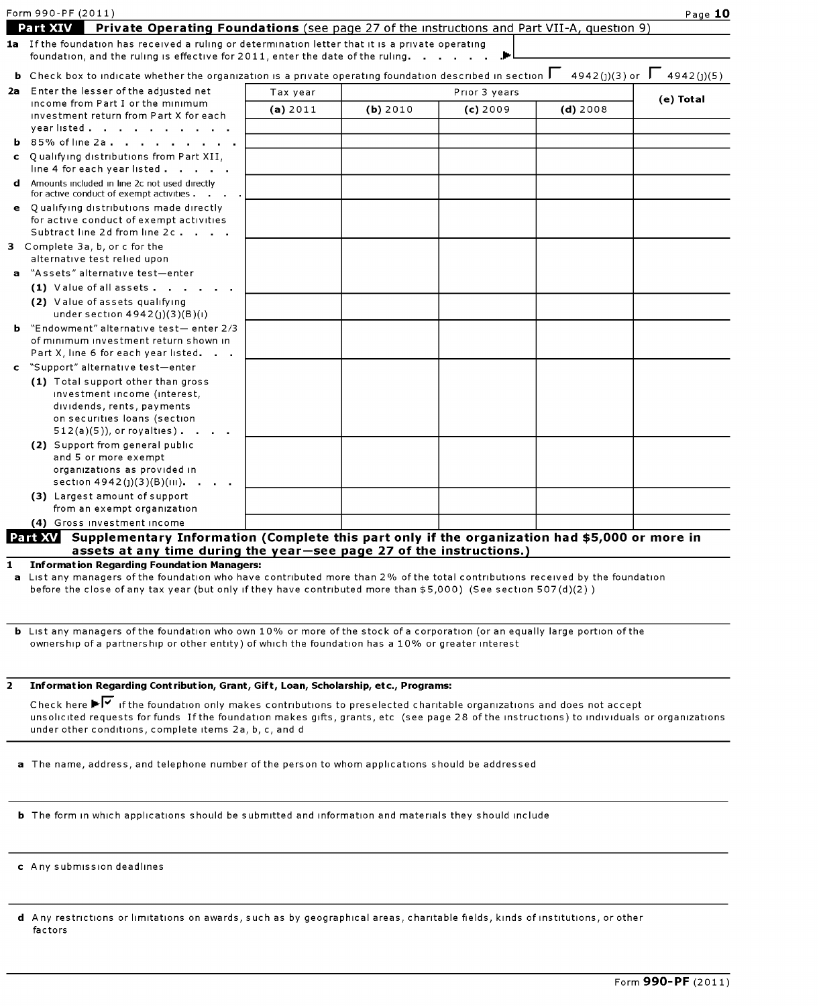|   | Form 990-PF (2011)                                                                                                                                                                   |          |          |               |               | Page 10    |
|---|--------------------------------------------------------------------------------------------------------------------------------------------------------------------------------------|----------|----------|---------------|---------------|------------|
|   | <b>Part XIV</b><br>Private Operating Foundations (see page 27 of the instructions and Part VII-A, question 9)                                                                        |          |          |               |               |            |
|   | 1a If the foundation has received a ruling or determination letter that it is a private operating<br>foundation, and the ruling is effective for 2011, enter the date of the ruling. |          |          |               |               |            |
|   | <b>b</b> Check box to indicate whether the organization is a private operating foundation described in section $\Box$                                                                |          |          |               | 4942(j)(3) or | 4942(j)(5) |
|   | 2a Enter the lesser of the adjusted net                                                                                                                                              | Tax year |          | Prior 3 years |               | (e) Total  |
|   | income from Part I or the minimum<br>investment return from Part X for each<br>yearlisted                                                                                            | (a) 2011 | (b) 2010 | (c) 2009      | $(d)$ 2008    |            |
|   | <b>b</b> 85% of line 2a.                                                                                                                                                             |          |          |               |               |            |
|   | c Qualifying distributions from Part XII,<br>line 4 for each year listed                                                                                                             |          |          |               |               |            |
|   | <b>d</b> Amounts included in line 2c not used directly<br>for active conduct of exempt activities.                                                                                   |          |          |               |               |            |
|   | e Qualifying distributions made directly<br>for active conduct of exempt activities<br>Subtract line 2d from line 2c.                                                                |          |          |               |               |            |
|   | 3 Complete 3a, b, or c for the<br>alternative test relied upon                                                                                                                       |          |          |               |               |            |
| a | "Assets" alternative test—enter                                                                                                                                                      |          |          |               |               |            |
|   | (1) Value of all assets                                                                                                                                                              |          |          |               |               |            |
|   | (2) Value of assets qualifying<br>under section 4942(j)(3)(B)(i)                                                                                                                     |          |          |               |               |            |
|   | <b>b</b> "Endowment" alternative test-enter $2/3$<br>of minimum investment return shown in<br>Part X, line 6 for each year listed.<br>$\sim$ 10 $\sim$                               |          |          |               |               |            |
|   | c "Support" alternative test-enter                                                                                                                                                   |          |          |               |               |            |
|   | (1) Total support other than gross<br>investment income (interest,<br>dividends, rents, payments<br>on securities loans (section<br>$512(a)(5)$ , or royalties).                     |          |          |               |               |            |
|   | (2) Support from general public<br>and 5 or more exempt<br>organizations as provided in<br>section 4942(j)(3)(B)(III).                                                               |          |          |               |               |            |
|   | (3) Largest amount of support<br>from an exempt organization                                                                                                                         |          |          |               |               |            |
|   | (4) Gross investment income                                                                                                                                                          |          |          |               |               |            |
|   | Supplementary Information (Complete this part only if the organization had \$5,000 or more in<br>Part XV<br>assets at any time during the year-see page 27 of the instructions.)     |          |          |               |               |            |

1 Information Regarding Foundation Managers:

<sup>a</sup> List any managers of the foundation who have contributed more than 2% of the total contributions received by the foundation before the close of any tax year (but only if they have contributed more than \$5,000) (See section 507(d)(2) )

b List any managers of the foundation who own 10% or more of the stock of a corporation (or an equally large portion of the ownership of <sup>a</sup> partnership or other entity) of which the foundation has <sup>a</sup> 10% or greater interest

|  |  |  |  |  |  |  | Information Regarding Contribution, Grant, Gift, Loan, Scholarship, etc., Programs: |
|--|--|--|--|--|--|--|-------------------------------------------------------------------------------------|
|--|--|--|--|--|--|--|-------------------------------------------------------------------------------------|

Check here  $\blacktriangleright\overline{\blacktriangledown}$  if the foundation only makes contributions to preselected charitable organizations and does not accept unsolicited requests for funds If the foundation makes gifts, grants, etc (see page 28 of the instructions) to individuals or organizations under other conditions, complete items 2a, b, c, and <sup>d</sup>

- a The name, address, and telephone number of the person to whom applications should be addressed
- b The form in which applications should be submitted and information and materials they should include
- c Any submission deadlines

| <b>d</b> Any restrictions or limitations on awards, such as by geographical areas, charitable fields, kinds of institutions, or other |  |  |
|---------------------------------------------------------------------------------------------------------------------------------------|--|--|
| factors                                                                                                                               |  |  |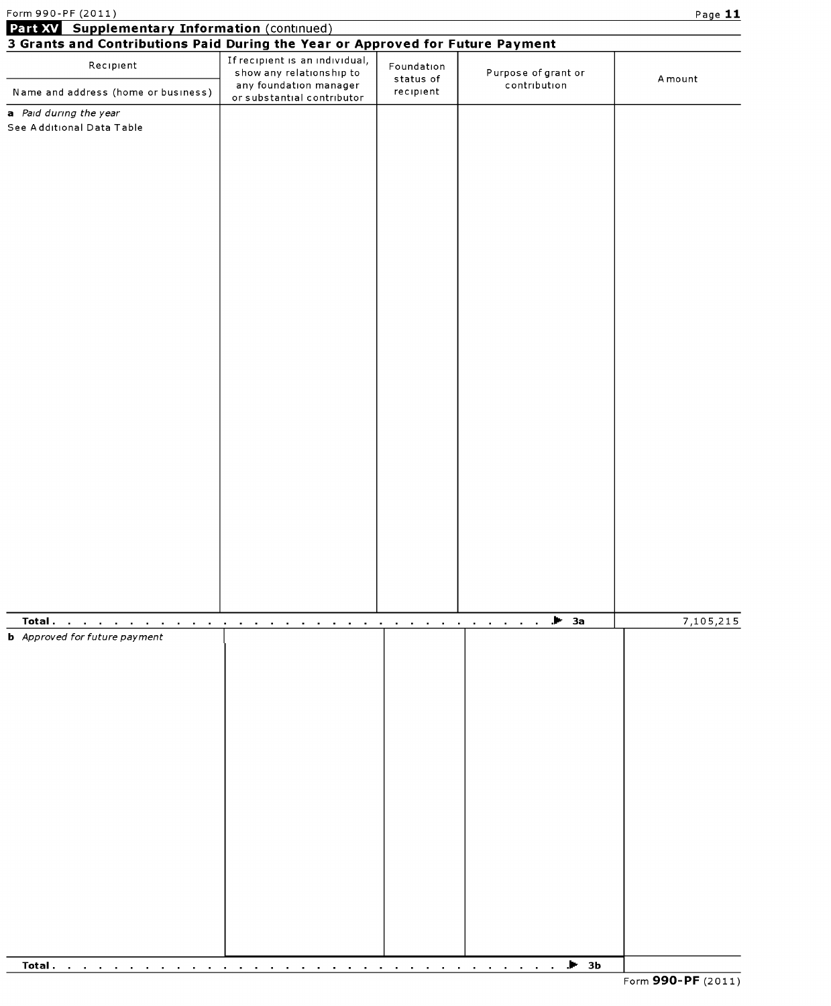| Form 990-PF (2011)<br>Part XV Supplementary Information (continued)            |                                                                        |                                              |                                                                                    | Page 11   |
|--------------------------------------------------------------------------------|------------------------------------------------------------------------|----------------------------------------------|------------------------------------------------------------------------------------|-----------|
| 3 Grants and Contributions Paid During the Year or Approved for Future Payment |                                                                        |                                              |                                                                                    |           |
| Recipient                                                                      | If recipient is an individual,<br>show any relationship to             | Foundation<br>status of                      | Purpose of grant or                                                                | A mount   |
| Name and address (home or business)                                            | any foundation manager<br>or substantial contributor                   | recipient                                    | contribution                                                                       |           |
| a Paid during the year                                                         |                                                                        |                                              |                                                                                    |           |
| See Additional Data Table                                                      |                                                                        |                                              |                                                                                    |           |
|                                                                                |                                                                        |                                              |                                                                                    |           |
|                                                                                |                                                                        |                                              |                                                                                    |           |
|                                                                                |                                                                        |                                              |                                                                                    |           |
|                                                                                |                                                                        |                                              |                                                                                    |           |
|                                                                                |                                                                        |                                              |                                                                                    |           |
|                                                                                |                                                                        |                                              |                                                                                    |           |
|                                                                                |                                                                        |                                              |                                                                                    |           |
|                                                                                |                                                                        |                                              |                                                                                    |           |
|                                                                                |                                                                        |                                              |                                                                                    |           |
|                                                                                |                                                                        |                                              |                                                                                    |           |
|                                                                                |                                                                        |                                              |                                                                                    |           |
|                                                                                |                                                                        |                                              |                                                                                    |           |
|                                                                                |                                                                        |                                              |                                                                                    |           |
|                                                                                |                                                                        |                                              |                                                                                    |           |
|                                                                                |                                                                        |                                              |                                                                                    |           |
|                                                                                |                                                                        |                                              |                                                                                    |           |
|                                                                                |                                                                        |                                              |                                                                                    |           |
|                                                                                |                                                                        |                                              |                                                                                    |           |
|                                                                                |                                                                        |                                              |                                                                                    |           |
|                                                                                |                                                                        |                                              |                                                                                    |           |
|                                                                                |                                                                        |                                              |                                                                                    |           |
|                                                                                |                                                                        |                                              |                                                                                    |           |
|                                                                                |                                                                        |                                              |                                                                                    |           |
|                                                                                |                                                                        |                                              |                                                                                    |           |
|                                                                                |                                                                        |                                              |                                                                                    |           |
|                                                                                |                                                                        |                                              |                                                                                    |           |
| Total.<br>the company of the company of                                        | <b>Contract Contract</b><br>$\sim$<br>$\blacksquare$<br>$\blacksquare$ | and the contract of the contract of the con- | $\blacktriangleright$ 3a<br>$\blacksquare$<br>$\sim$ 100 $\pm$<br>$\sim$ 100 $\pm$ | 7,105,215 |
| <b>b</b> Approved for future payment                                           |                                                                        |                                              |                                                                                    |           |
|                                                                                |                                                                        |                                              |                                                                                    |           |
|                                                                                |                                                                        |                                              |                                                                                    |           |
|                                                                                |                                                                        |                                              |                                                                                    |           |
|                                                                                |                                                                        |                                              |                                                                                    |           |
|                                                                                |                                                                        |                                              |                                                                                    |           |
|                                                                                |                                                                        |                                              |                                                                                    |           |
|                                                                                |                                                                        |                                              |                                                                                    |           |
|                                                                                |                                                                        |                                              |                                                                                    |           |
|                                                                                |                                                                        |                                              |                                                                                    |           |
|                                                                                |                                                                        |                                              |                                                                                    |           |
|                                                                                |                                                                        |                                              |                                                                                    |           |
|                                                                                |                                                                        |                                              |                                                                                    |           |
|                                                                                |                                                                        |                                              |                                                                                    |           |
|                                                                                |                                                                        |                                              |                                                                                    |           |
|                                                                                |                                                                        |                                              |                                                                                    |           |
|                                                                                |                                                                        |                                              |                                                                                    |           |
|                                                                                |                                                                        |                                              |                                                                                    |           |
| Total.                                                                         |                                                                        |                                              | $\blacktriangleright$ 3b                                                           |           |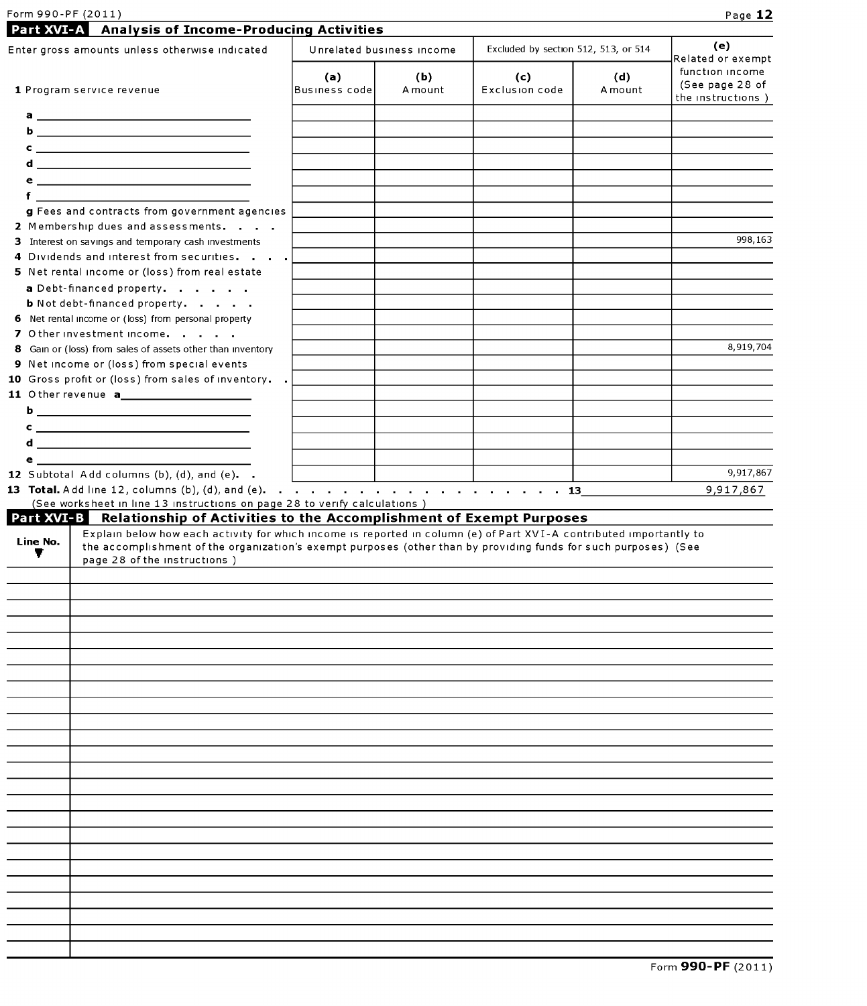| Form 990-PF (2011<br>ا 1 1 5 2. | Page |
|---------------------------------|------|
|                                 |      |

| Enter gross amounts unless otherwise indicated                                                                                                                                                                                                                                          |                      | Unrelated business income | Excluded by section 512, 513, or 514 |                | (e)<br>Related or exempt                                |
|-----------------------------------------------------------------------------------------------------------------------------------------------------------------------------------------------------------------------------------------------------------------------------------------|----------------------|---------------------------|--------------------------------------|----------------|---------------------------------------------------------|
| 1 Program service revenue                                                                                                                                                                                                                                                               | (a)<br>Business code | (b)<br>A mount            | (c)<br>Exclusion code                | (d)<br>A mount | function income<br>(See page 28 of<br>the instructions) |
|                                                                                                                                                                                                                                                                                         |                      |                           |                                      |                |                                                         |
|                                                                                                                                                                                                                                                                                         |                      |                           |                                      |                |                                                         |
|                                                                                                                                                                                                                                                                                         |                      |                           |                                      |                |                                                         |
|                                                                                                                                                                                                                                                                                         |                      |                           |                                      |                |                                                         |
|                                                                                                                                                                                                                                                                                         |                      |                           |                                      |                |                                                         |
| <u>f _______________________________</u>                                                                                                                                                                                                                                                |                      |                           |                                      |                |                                                         |
| g Fees and contracts from government agencies<br>2 Membership dues and assessments.                                                                                                                                                                                                     |                      |                           |                                      |                |                                                         |
| 3 Interest on savings and temporary cash investments                                                                                                                                                                                                                                    |                      |                           |                                      |                | 998,163                                                 |
| 4 Dividends and interest from securities.                                                                                                                                                                                                                                               |                      |                           |                                      |                |                                                         |
| 5 Net rental income or (loss) from real estate                                                                                                                                                                                                                                          |                      |                           |                                      |                |                                                         |
| a Debt-financed property.                                                                                                                                                                                                                                                               |                      |                           |                                      |                |                                                         |
| <b>b</b> Not debt-financed property.                                                                                                                                                                                                                                                    |                      |                           |                                      |                |                                                         |
| 6 Net rental income or (loss) from personal property                                                                                                                                                                                                                                    |                      |                           |                                      |                |                                                         |
| 7 Other investment income.<br>8 Gain or (loss) from sales of assets other than inventory                                                                                                                                                                                                |                      |                           |                                      |                | 8,919,704                                               |
| 9 Net income or (loss) from special events                                                                                                                                                                                                                                              |                      |                           |                                      |                |                                                         |
| 10 Gross profit or (loss) from sales of inventory. .                                                                                                                                                                                                                                    |                      |                           |                                      |                |                                                         |
|                                                                                                                                                                                                                                                                                         |                      |                           |                                      |                |                                                         |
|                                                                                                                                                                                                                                                                                         |                      |                           |                                      |                |                                                         |
| $c \overline{\phantom{a}}$                                                                                                                                                                                                                                                              |                      |                           |                                      |                |                                                         |
|                                                                                                                                                                                                                                                                                         |                      |                           |                                      |                |                                                         |
|                                                                                                                                                                                                                                                                                         |                      |                           |                                      |                |                                                         |
| $e_1$ and $e_2$ and $e_3$ and $e_4$ and $e_5$ and $e_6$ and $e_7$ and $e_8$ and $e_9$                                                                                                                                                                                                   |                      |                           |                                      |                |                                                         |
| 12 Subtotal Add columns (b), (d), and (e). .                                                                                                                                                                                                                                            |                      |                           |                                      |                |                                                         |
| (See worksheet in line 13 instructions on page 28 to verify calculations)                                                                                                                                                                                                               |                      |                           |                                      |                |                                                         |
| <b>Part XVI-3</b> Relationship of Activities to the Accomplishment of Exempt Purposes                                                                                                                                                                                                   |                      |                           |                                      |                |                                                         |
| Explain below how each activity for which income is reported in column (e) of Part XVI-A contributed importantly to<br>Line No.<br>the accomplishment of the organization's exempt purposes (other than by providing funds for such purposes) (See<br>v<br>page 28 of the instructions) |                      |                           |                                      |                |                                                         |
|                                                                                                                                                                                                                                                                                         |                      |                           |                                      |                | 9,917,867<br>9,917,867                                  |
|                                                                                                                                                                                                                                                                                         |                      |                           |                                      |                |                                                         |
|                                                                                                                                                                                                                                                                                         |                      |                           |                                      |                |                                                         |
|                                                                                                                                                                                                                                                                                         |                      |                           |                                      |                |                                                         |
|                                                                                                                                                                                                                                                                                         |                      |                           |                                      |                |                                                         |
|                                                                                                                                                                                                                                                                                         |                      |                           |                                      |                |                                                         |
|                                                                                                                                                                                                                                                                                         |                      |                           |                                      |                |                                                         |
|                                                                                                                                                                                                                                                                                         |                      |                           |                                      |                |                                                         |
|                                                                                                                                                                                                                                                                                         |                      |                           |                                      |                |                                                         |
|                                                                                                                                                                                                                                                                                         |                      |                           |                                      |                |                                                         |
|                                                                                                                                                                                                                                                                                         |                      |                           |                                      |                |                                                         |
|                                                                                                                                                                                                                                                                                         |                      |                           |                                      |                |                                                         |
|                                                                                                                                                                                                                                                                                         |                      |                           |                                      |                |                                                         |
|                                                                                                                                                                                                                                                                                         |                      |                           |                                      |                |                                                         |
|                                                                                                                                                                                                                                                                                         |                      |                           |                                      |                |                                                         |
|                                                                                                                                                                                                                                                                                         |                      |                           |                                      |                |                                                         |
|                                                                                                                                                                                                                                                                                         |                      |                           |                                      |                |                                                         |
|                                                                                                                                                                                                                                                                                         |                      |                           |                                      |                |                                                         |
|                                                                                                                                                                                                                                                                                         |                      |                           |                                      |                |                                                         |
|                                                                                                                                                                                                                                                                                         |                      |                           |                                      |                |                                                         |
|                                                                                                                                                                                                                                                                                         |                      |                           |                                      |                |                                                         |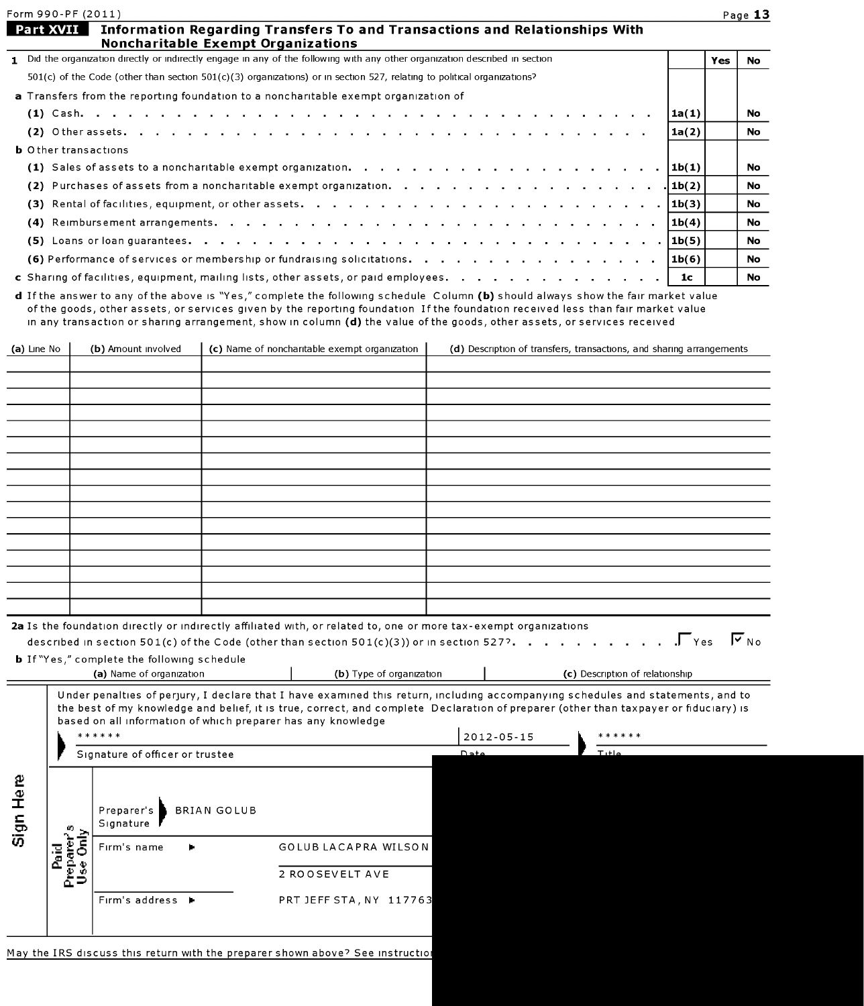| Form 990-PF (2011) | Page |
|--------------------|------|
|--------------------|------|

No No

| Part XVII<br>Information Regarding Transfers To and Transactions and Relationships With                                       |       |     |           |
|-------------------------------------------------------------------------------------------------------------------------------|-------|-----|-----------|
| <b>Noncharitable Exempt Organizations</b>                                                                                     |       |     |           |
| 1 Did the organization directly or indirectly engage in any of the following with any other organization described in section |       | Yes | No        |
| $501(c)$ of the Code (other than section $501(c)(3)$ organizations) or in section 527, relating to political organizations?   |       |     |           |
| a Transfers from the reporting foundation to a noncharitable exempt organization of                                           |       |     |           |
|                                                                                                                               | 1a(1) |     | <b>No</b> |
|                                                                                                                               | 1a(2) |     | No        |
|                                                                                                                               |       |     |           |

|  | <b>b</b> Other transactions |
|--|-----------------------------|
|  |                             |

| <b>b</b> Other transactions                                                           |  |           |
|---------------------------------------------------------------------------------------|--|-----------|
|                                                                                       |  | <b>No</b> |
|                                                                                       |  | No        |
|                                                                                       |  | <b>No</b> |
|                                                                                       |  | No        |
|                                                                                       |  | No        |
| (6) Performance of services or membership or fundraising solicitations. $\ket{1b(6)}$ |  | No.       |
|                                                                                       |  | No.       |

d If the answer to any of the above is "Yes," complete the following schedule Column (b) should always show the fair market value of the goods, other assets, or services given by the reporting foundation If the foundation received less than fair market value in any transaction or sharing arrangement, show in column (d) the value of the goods, other assets, or services received

| (a) Line No | (b) Amount involved                                                                                              | (c) Name of noncharitable exempt organization |      |                  | (d) Description of transfers, transactions, and sharing arrangements                                                                                                                                                                                                    |  |
|-------------|------------------------------------------------------------------------------------------------------------------|-----------------------------------------------|------|------------------|-------------------------------------------------------------------------------------------------------------------------------------------------------------------------------------------------------------------------------------------------------------------------|--|
|             |                                                                                                                  |                                               |      |                  |                                                                                                                                                                                                                                                                         |  |
|             |                                                                                                                  |                                               |      |                  |                                                                                                                                                                                                                                                                         |  |
|             |                                                                                                                  |                                               |      |                  |                                                                                                                                                                                                                                                                         |  |
|             |                                                                                                                  |                                               |      |                  |                                                                                                                                                                                                                                                                         |  |
|             |                                                                                                                  |                                               |      |                  |                                                                                                                                                                                                                                                                         |  |
|             |                                                                                                                  |                                               |      |                  |                                                                                                                                                                                                                                                                         |  |
|             |                                                                                                                  |                                               |      |                  |                                                                                                                                                                                                                                                                         |  |
|             |                                                                                                                  |                                               |      |                  |                                                                                                                                                                                                                                                                         |  |
|             |                                                                                                                  |                                               |      |                  |                                                                                                                                                                                                                                                                         |  |
|             |                                                                                                                  |                                               |      |                  |                                                                                                                                                                                                                                                                         |  |
|             |                                                                                                                  |                                               |      |                  |                                                                                                                                                                                                                                                                         |  |
|             |                                                                                                                  |                                               |      |                  |                                                                                                                                                                                                                                                                         |  |
|             |                                                                                                                  |                                               |      |                  |                                                                                                                                                                                                                                                                         |  |
|             |                                                                                                                  |                                               |      |                  |                                                                                                                                                                                                                                                                         |  |
|             |                                                                                                                  |                                               |      |                  |                                                                                                                                                                                                                                                                         |  |
|             |                                                                                                                  |                                               |      |                  |                                                                                                                                                                                                                                                                         |  |
|             | 2a Is the foundation directly or indirectly affiliated with, or related to, one or more tax-exempt organizations |                                               |      |                  | described in section 501(c) of the Code (other than section 501(c)(3)) or in section 527?. $\Gamma$ Yes $\Gamma$ No                                                                                                                                                     |  |
|             | <b>b</b> If "Yes," complete the following schedule<br>(a) Name of organization                                   | (b) Type of organization                      |      |                  | (c) Description of relationship                                                                                                                                                                                                                                         |  |
|             | based on all information of which preparer has any knowledge                                                     |                                               |      |                  | Under penalties of perjury, I declare that I have examined this return, including accompanying schedules and statements, and to<br>the best of my knowledge and belief, it is true, correct, and complete Declaration of preparer (other than taxpayer or fiduciary) is |  |
|             | ******                                                                                                           |                                               |      | $2012 - 05 - 15$ | ******                                                                                                                                                                                                                                                                  |  |
|             | Signature of officer or trustee                                                                                  |                                               | Date |                  | $T$ <sub>ttle</sub>                                                                                                                                                                                                                                                     |  |

| Sign Here | m | BRIAN GOLUB<br>Preparer's<br>Signature |                         |
|-----------|---|----------------------------------------|-------------------------|
|           |   | Firm's name                            | GOLUB LACAPRA WILSON    |
|           |   |                                        | 2 ROOSEVELT AVE         |
|           |   | Firm's address $\blacktriangleright$   | PRT JEFF STA, NY 117763 |
|           |   |                                        |                         |

May the IRS discuss this return with the preparer shown above? See instructio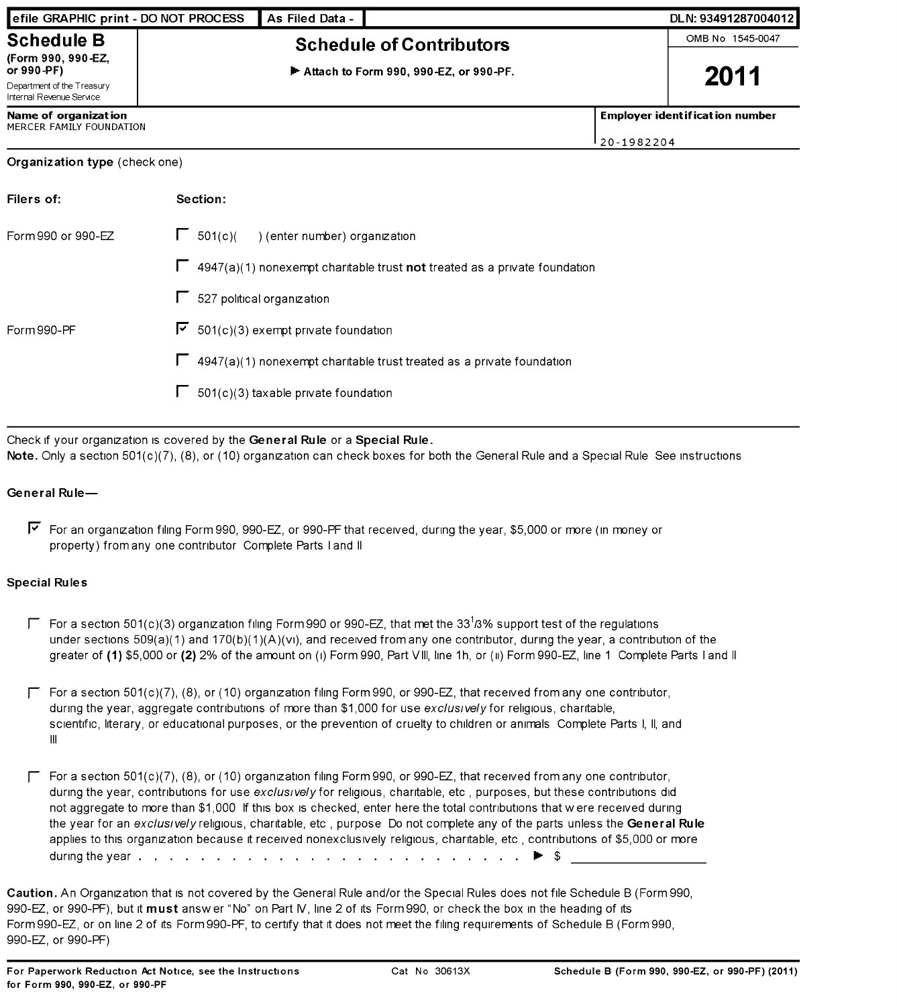| efile GRAPHIC print - DO NOT PROCESS                   |                                   | As Filed Data -                     |                                                                                  |            | DLN: 93491287004012                   |
|--------------------------------------------------------|-----------------------------------|-------------------------------------|----------------------------------------------------------------------------------|------------|---------------------------------------|
| <b>Schedule B</b>                                      |                                   | <b>Schedule of Contributors</b>     |                                                                                  |            | OMB No 1545-0047                      |
| (Form 990, 990-EZ,<br>or 990-PF)                       |                                   |                                     | $\blacktriangleright$ Attach to Form 990, 990-EZ, or 990-PF.                     |            | 2011                                  |
| Department of the Treasury<br>Internal Revenue Service |                                   |                                     |                                                                                  |            |                                       |
| Name of organization<br>MERCER FAMILY FOUNDATION       |                                   |                                     |                                                                                  |            | <b>Employer identification number</b> |
|                                                        |                                   |                                     |                                                                                  | 20-1982204 |                                       |
| <b>Organization type</b> (check one)                   |                                   |                                     |                                                                                  |            |                                       |
| Filers of:                                             | Section:                          |                                     |                                                                                  |            |                                       |
| Form 990 or 990-EZ                                     | $\Box$ 501(c)(                    | ) (enter number) organization       |                                                                                  |            |                                       |
|                                                        |                                   |                                     | $\Box$ 4947(a)(1) nonexempt charitable trust not treated as a private foundation |            |                                       |
|                                                        | $\Box$ 527 political organization |                                     |                                                                                  |            |                                       |
| Form 990-PF                                            | ⊽                                 | 501(c)(3) exempt private foundation |                                                                                  |            |                                       |
|                                                        |                                   |                                     | 4947(a)(1) nonexempt charitable trust treated as a private foundation            |            |                                       |

 $\Gamma$  501(c)(3) taxable private foundation

Check if your organization is covered by the General Rule or a Special Rule. Note. Only a section 501(c)(7), (8), or (10) organization can check boxes for both the General Rule and a Special Rule See instructions

#### General Rule-

 $\blacktriangledown$  For an organization filing Form 990, 990-EZ, or 990-PF that received, during the year, \$5,000 or more (in money or property) from any one contributor Complete Parts <sup>I</sup> and II

#### Special Rules

- Figure 501(c)(3) organization filing Form 990 or 990-EZ, that met the 33<sup>1</sup>/3% support test of the regulations under sections  $509(a)(1)$  and  $170(b)(1)(A)(v)$ , and received from any one contributor, during the year, a contribution of the greater of (1) \$5,000 or (2) 2% of the amount on (i) Form 990, Part VIII, line 1h, or (ii) Form 990-EZ, line 1 Complete Parts I and II
- $\Gamma$  For a section 501(c)(7), (8), or (10) organization filing Form 990, or 990-EZ, that received from any one contributor, during the year, aggregate contributions of more than \$1,000 for use exclusively for religious, charitable, scientific, literary, or educational purposes, or the prevention of cruelty to children or animals Complete Parts I, II, and III
- $\Gamma$  For a section 501(c)(7), (8), or (10) organization filing Form 990, or 990-EZ, that received from any one contributor, during the year, contributions for use exclusively for religious, charitable, etc, purposes, but these contributions did not aggregate to more than \$1,000 If this box is checked, enter here the total contributions that w ere received during the year for an exclusively religious, charitable, etc, purpose Do not complete any of the parts unless the General Rule applies to this organization because it received nonexclusively religious, charitable, etc , contributions of \$5,000 or more during the year . . . . . . . . . . . . . . . . . . . . . . . . . Ilk- \$

Caution. An Organization that is not covered by the General Rule and/or the Special Rules does not file Schedule B (Form 990, 990-EZ, or 990-PF), but it must answer "No" on Part IV, line 2 of its Form 990, or check the box in the heading of its Form 990-EZ, or on line 2 of its Form 990-PF, to certify that it does not meet the filing requirements of Schedule B (Form 990, 990-EZ, or 990-PF)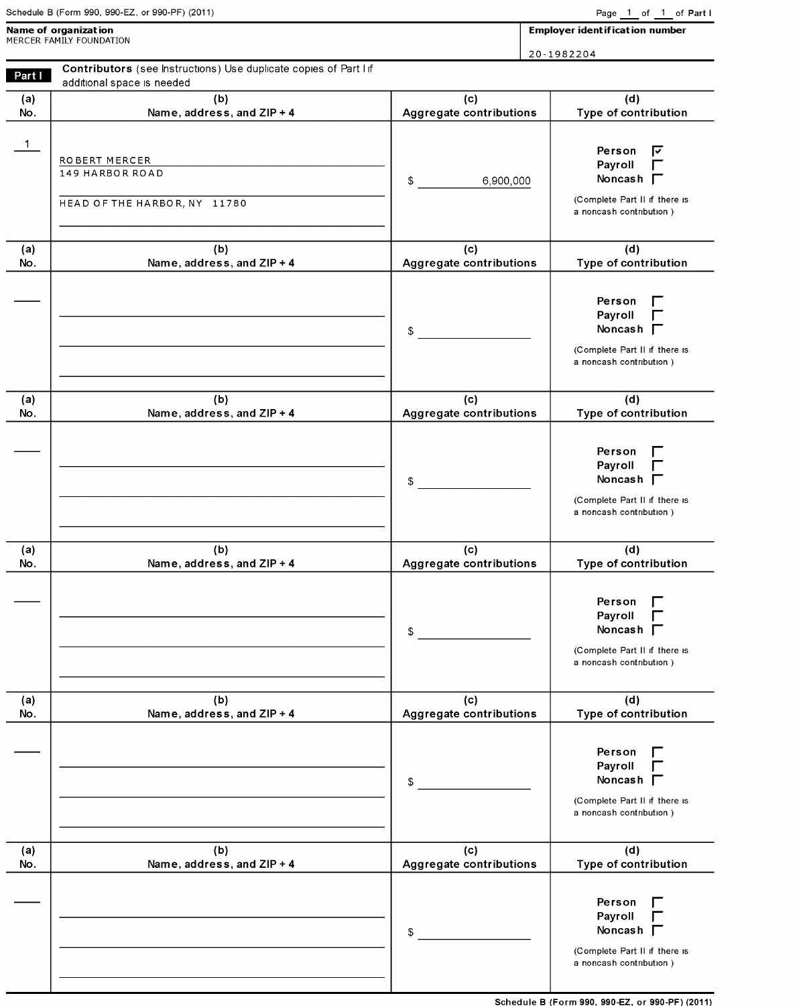|  |  | Schedule B (Form 990, 990-EZ, or 990-PF) (2011) |  |
|--|--|-------------------------------------------------|--|
|  |  |                                                 |  |

| Name of organization<br>MERCER FAMILY FOUNDATION | Employer identification number |
|--------------------------------------------------|--------------------------------|
|                                                  | 20-1982204                     |

Contributors (see Instructions) Use duplicate copies of Part <sup>I</sup> If Part I additional space is needed

| (a) | (b)                                                              | (c)                     | (d)                                                                                                    |
|-----|------------------------------------------------------------------|-------------------------|--------------------------------------------------------------------------------------------------------|
| No. | Name, address, and ZIP + 4                                       | Aggregate contributions | Type of contribution                                                                                   |
| 1   | ROBERT MERCER<br>149 HARBOR ROAD<br>HEAD OF THE HARBOR, NY 11780 | \$<br>6,900,000         | Person<br>ন<br>Payroll<br>Noncash $\Gamma$<br>(Complete Part II if there is<br>a noncash contribution) |
| (a) | (b)                                                              | (c)                     | (d)                                                                                                    |
| No. | Name, address, and ZIP + 4                                       | Aggregate contributions | Type of contribution                                                                                   |
|     |                                                                  | \$                      | Person<br>Payroll<br>Noncash $\Gamma$<br>(Complete Part II if there is<br>a noncash contribution)      |
| (a) | (b)                                                              | (c)                     | (d)                                                                                                    |
| No. | Name, address, and ZIP + 4                                       | Aggregate contributions | Type of contribution                                                                                   |
|     |                                                                  | \$                      | Person<br>Payroll<br>Noncash $\Gamma$<br>(Complete Part II if there is<br>a noncash contribution)      |
| (a) | (b)                                                              | (c)                     | (d)                                                                                                    |
| No. | Name, address, and ZIP + 4                                       | Aggregate contributions | Type of contribution                                                                                   |
|     |                                                                  | \$                      | Person<br>Payroll<br>Noncash $\Gamma$<br>(Complete Part II if there is<br>a noncash contribution)      |
| (a) | (b)                                                              | (c)                     | (d)                                                                                                    |
| No. | Name, address, and ZIP + 4                                       | Aggregate contributions | Type of contribution                                                                                   |
|     |                                                                  | \$                      | Person<br>Payroll<br>Noncash $\Gamma$<br>(Complete Part II if there is<br>a noncash contribution)      |
| (a) | (b)                                                              | (c)                     | (d)                                                                                                    |
| No. | Name, address, and ZIP + 4                                       | Aggregate contributions | Type of contribution                                                                                   |
|     |                                                                  | \$                      | Person<br>Payroll<br>Noncash $\Gamma$<br>(Complete Part II if there is<br>a noncash contribution)      |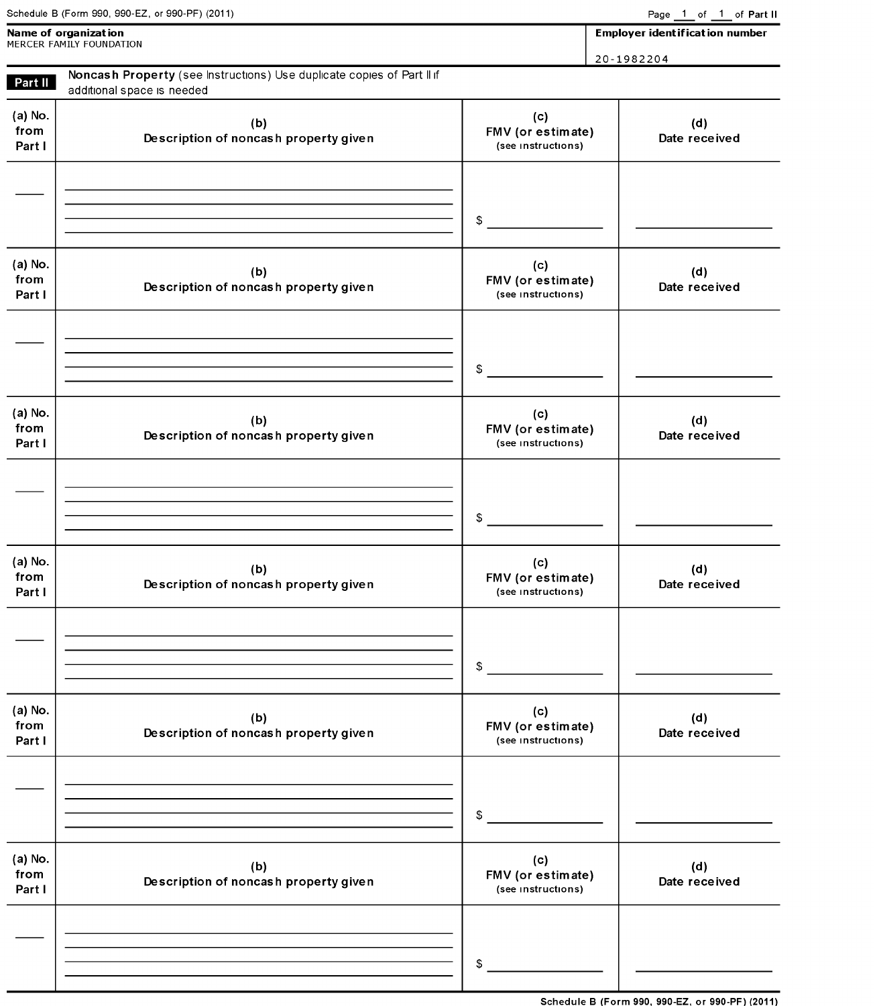|                           | Schedule B (Form 990, 990-EZ, or 990-PF) (2011)                                                      |                                                | Page 1 of 1 of Part II                |  |  |
|---------------------------|------------------------------------------------------------------------------------------------------|------------------------------------------------|---------------------------------------|--|--|
|                           | Name of organization<br>MERCER FAMILY FOUNDATION                                                     |                                                | <b>Employer identification number</b> |  |  |
|                           |                                                                                                      |                                                | 20-1982204                            |  |  |
| Part II                   | Noncash Property (see Instructions) Use duplicate copies of Part II if<br>additional space is needed |                                                |                                       |  |  |
| (a) No.<br>from<br>Part I | (b)<br>Description of noncash property given                                                         | (c)<br>FMV (or estimate)<br>(see instructions) | (d)<br>Date received                  |  |  |
|                           |                                                                                                      | \$                                             |                                       |  |  |
| (a) No.<br>from<br>Part I | (b)<br>Description of noncash property given                                                         | (c)<br>FMV (or estimate)<br>(see instructions) | (d)<br>Date received                  |  |  |
|                           |                                                                                                      | \$                                             |                                       |  |  |
| (a) No.<br>from<br>Part I | (b)<br>Description of noncash property given                                                         | (c)<br>FMV (or estimate)<br>(see instructions) | (d)<br>Date received                  |  |  |
|                           |                                                                                                      | \$                                             |                                       |  |  |
| (a) No.<br>from<br>Part I | (b)<br>Description of noncash property given                                                         | (c)<br>FMV (or estimate)<br>(see instructions) | (d)<br>Date received                  |  |  |
|                           |                                                                                                      | \$                                             |                                       |  |  |
| (a) No.<br>from<br>Part I | (b)<br>Description of noncash property given                                                         | (c)<br>FMV (or estimate)<br>(see instructions) | (d)<br>Date received                  |  |  |
|                           |                                                                                                      | \$                                             |                                       |  |  |
| (a) No.<br>from<br>Part I | (b)<br>Description of noncash property given                                                         | (c)<br>FMV (or estimate)<br>(see instructions) | (d)<br>Date received                  |  |  |
|                           |                                                                                                      | \$                                             |                                       |  |  |

Schedule B (Form 990, 990-EZ, or 990-PF) (2011)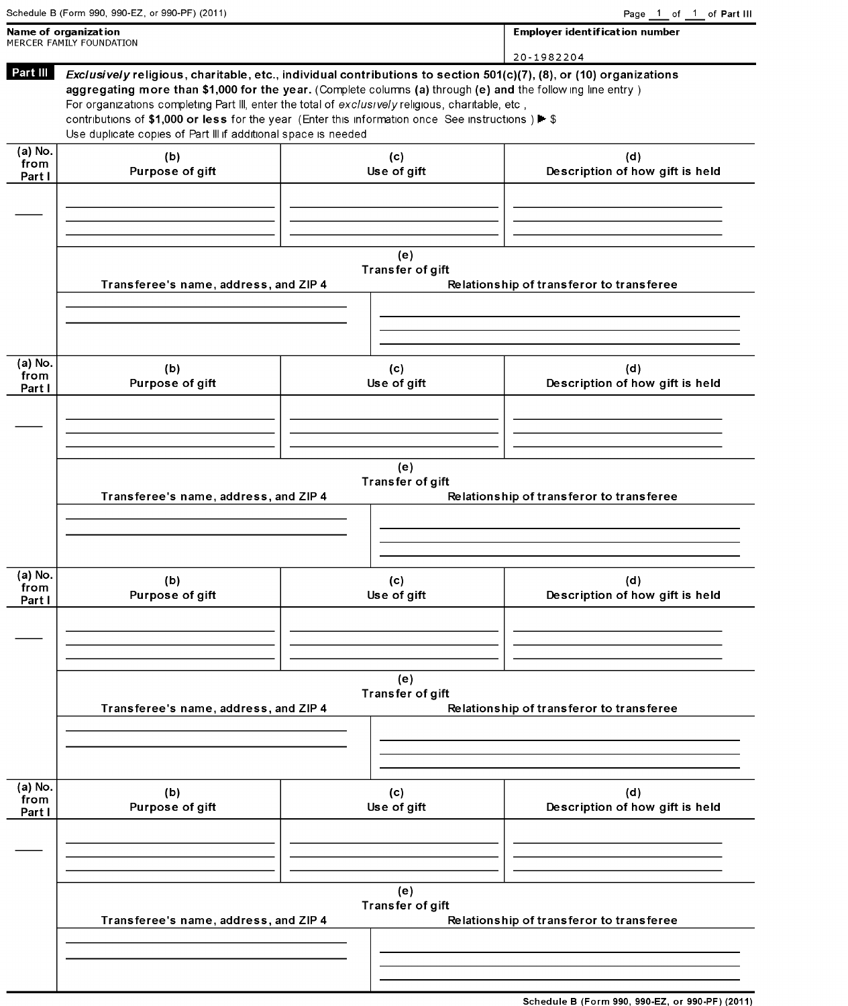| Schedule B (Form 990, 990-EZ, or 990-PF) (2011) |  |  |  |  |
|-------------------------------------------------|--|--|--|--|
|                                                 |  |  |  |  |

|                           | Name of organization<br>MERCER FAMILY FOUNDATION                                                                                                                                                                                                                                                                                                                                                                                                                                                              |                         | <b>Employer identification number</b>    |
|---------------------------|---------------------------------------------------------------------------------------------------------------------------------------------------------------------------------------------------------------------------------------------------------------------------------------------------------------------------------------------------------------------------------------------------------------------------------------------------------------------------------------------------------------|-------------------------|------------------------------------------|
|                           |                                                                                                                                                                                                                                                                                                                                                                                                                                                                                                               |                         | 20-1982204                               |
| Part III                  | Exclusively religious, charitable, etc., individual contributions to section 501(c)(7), (8), or (10) organizations<br>aggregating more than \$1,000 for the year. (Complete columns (a) through (e) and the following line entry)<br>For organizations completing Part III, enter the total of exclusively religious, charitable, etc,<br>contributions of \$1,000 or less for the year (Enter this information once See instructions) ▶ \$<br>Use duplicate copies of Part III if additional space is needed |                         |                                          |
| (a) No.<br>from<br>Part I | (b)<br>Purpose of gift                                                                                                                                                                                                                                                                                                                                                                                                                                                                                        | (c)<br>Use of gift      | (d)<br>Description of how gift is held   |
|                           |                                                                                                                                                                                                                                                                                                                                                                                                                                                                                                               |                         |                                          |
|                           | Transferee's name, address, and ZIP 4                                                                                                                                                                                                                                                                                                                                                                                                                                                                         | (e)<br>Transfer of gift | Relationship of transferor to transferee |
| (a) No.<br>from<br>Part I | (b)<br>Purpose of gift                                                                                                                                                                                                                                                                                                                                                                                                                                                                                        | (c)<br>Use of gift      | (d)<br>Description of how gift is held   |
|                           |                                                                                                                                                                                                                                                                                                                                                                                                                                                                                                               |                         |                                          |
|                           | Transferee's name, address, and ZIP 4                                                                                                                                                                                                                                                                                                                                                                                                                                                                         | (e)<br>Transfer of gift | Relationship of transferor to transferee |
| (a) No.<br>from<br>Part I | (b)<br>Purpose of gift                                                                                                                                                                                                                                                                                                                                                                                                                                                                                        | (c)<br>Use of gift      | (d)<br>Description of how gift is held   |
|                           | Transferee's name, address, and ZIP 4                                                                                                                                                                                                                                                                                                                                                                                                                                                                         | (e)<br>Transfer of gift | Relationship of transferor to transferee |
| (a) No.<br>from<br>Part I | (b)<br>Purpose of gift                                                                                                                                                                                                                                                                                                                                                                                                                                                                                        | (c)<br>Use of gift      | (d)<br>Description of how gift is held   |
|                           |                                                                                                                                                                                                                                                                                                                                                                                                                                                                                                               | (e)                     |                                          |
|                           | Transferee's name, address, and ZIP 4                                                                                                                                                                                                                                                                                                                                                                                                                                                                         | Transfer of gift        | Relationship of transferor to transferee |
|                           |                                                                                                                                                                                                                                                                                                                                                                                                                                                                                                               |                         |                                          |

Schedule B (Form 990, 990-EZ, or 990-PF) (2011)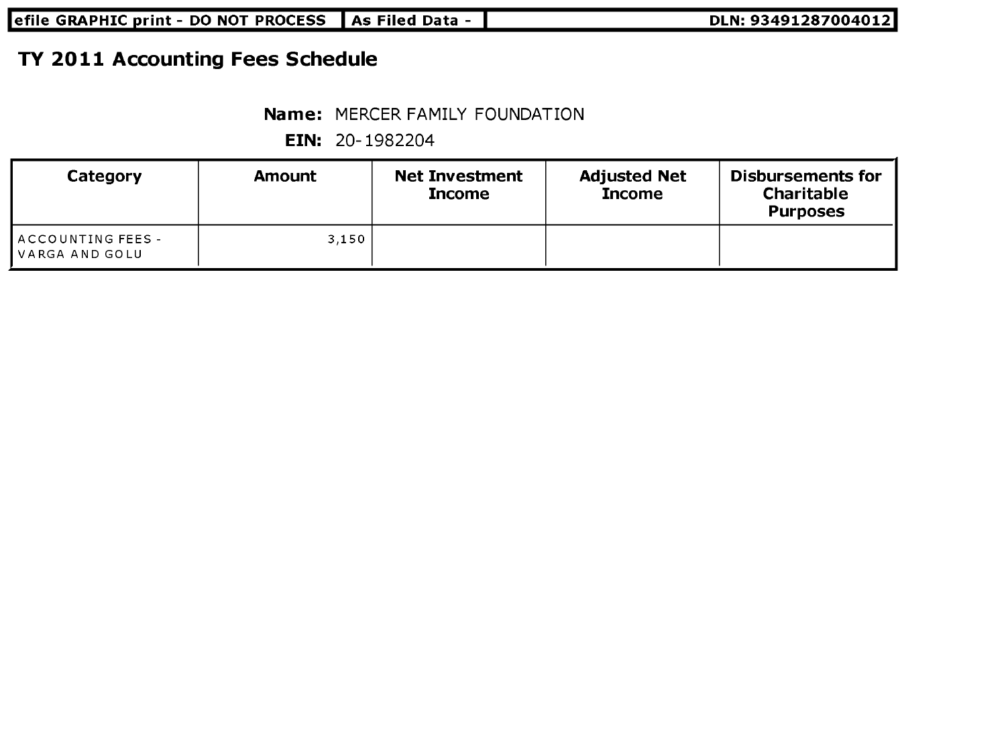| efile GRAPHIC print - DO NOT PROCESS    As Filed Data - | DLN: 93491287004012 |
|---------------------------------------------------------|---------------------|
|---------------------------------------------------------|---------------------|

# TY 2011 Accounting Fees Schedule

#### Name: MERCER FAMILY FOUNDATION

| Category                               | Amount | <b>Net Investment</b><br><b>Income</b> | <b>Adjusted Net</b><br><b>Income</b> | <b>Disbursements for</b><br><b>Charitable</b><br><b>Purposes</b> |
|----------------------------------------|--------|----------------------------------------|--------------------------------------|------------------------------------------------------------------|
| ∥ACCOUNTING FEES -<br>  VARGA AND GOLU | 3.150  |                                        |                                      |                                                                  |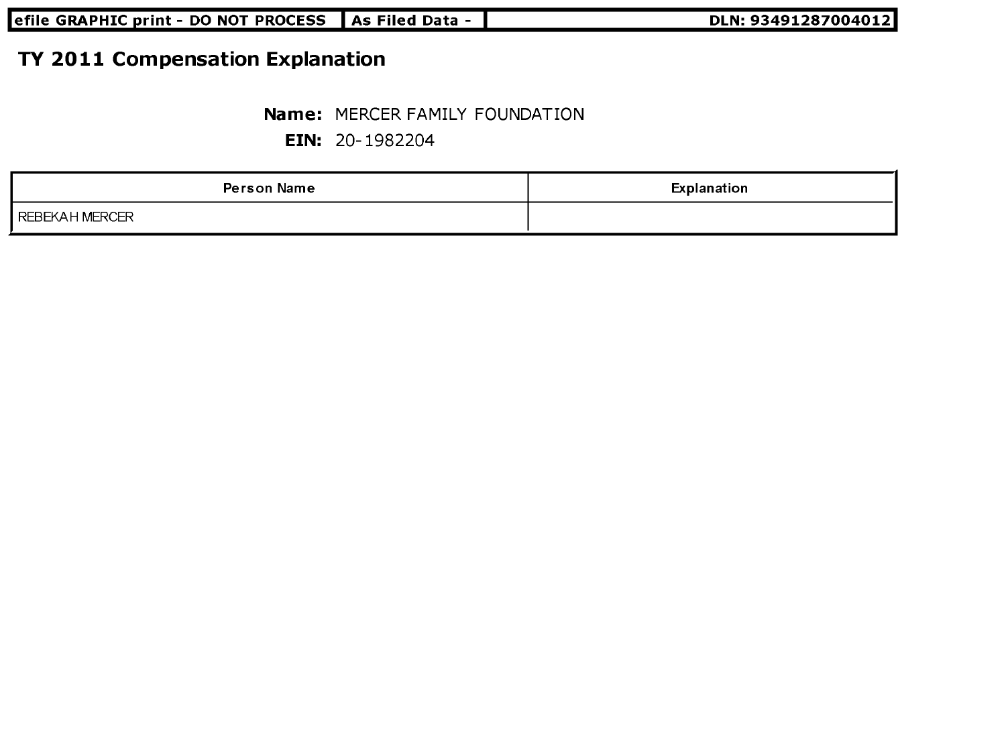| DLN: 93491287004012<br> efile GRAPHIC print - DO NOT PROCESS    As Filed Data - |  |
|---------------------------------------------------------------------------------|--|
|---------------------------------------------------------------------------------|--|

# TY 2011 Compensation Explanation

#### Name: MERCER FAMILY FOUNDATION

| <b>Person Name</b> | Explanation |
|--------------------|-------------|
| I REBEKAH MERCER   |             |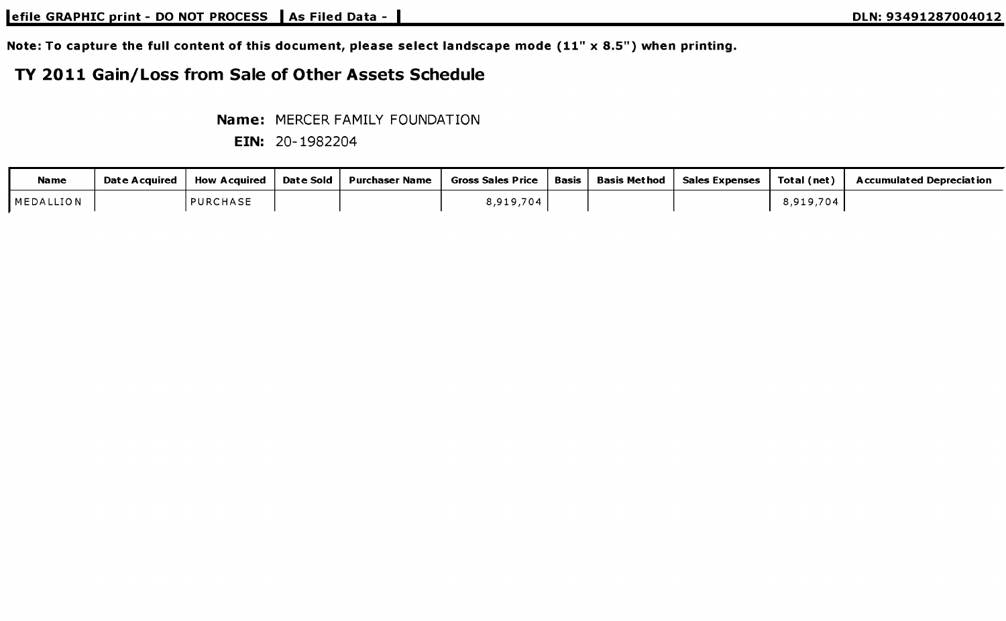Note: To capture the full content of this document, please select landscape mode (11" x 8.5") when printing.

## TY 2011 Gain/Loss from Sale of Other Assets Schedule

Name: MERCER FAMILY FOUNDATION

| <b>Name</b>        | Date Acquired | <b>How Acauired</b> | Date Sold | Purchaser Name | <b>Gross Sales Price</b> | Basis | Basis Met hod | <b>Sales Expenses</b> | Total (net)                                             | Accumulated Depreciation |
|--------------------|---------------|---------------------|-----------|----------------|--------------------------|-------|---------------|-----------------------|---------------------------------------------------------|--------------------------|
| <b>I</b> MEDALLION |               | <b>PURCHASE</b>     |           |                | .919.704                 |       |               |                       | .704<br>$\leftarrow$ 0.10 $\leftarrow$<br>0, 7, 1, 7, 1 |                          |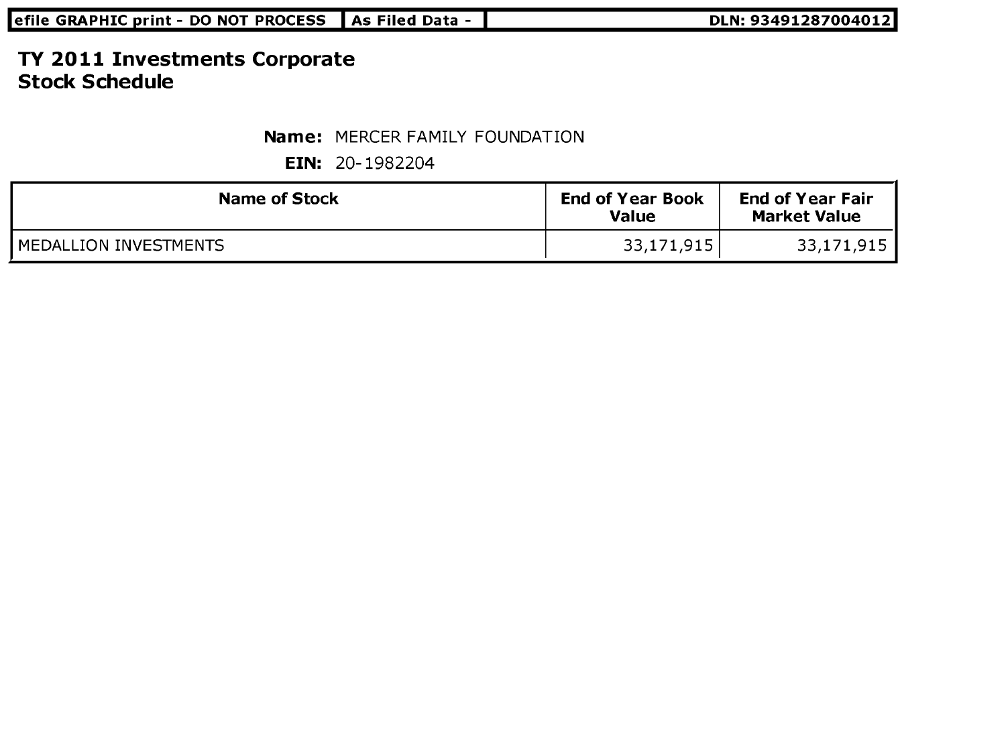| efile GRAPHIC print - DO NOT PROCESS    As Filed Data - | DLN: 93491287004012 |
|---------------------------------------------------------|---------------------|

### TY 2011 Investments Corporate Stock Schedule

Name: MERCER FAMILY FOUNDATION

| <b>Name of Stock</b>    | <b>End of Year Book</b><br>Value | <b>End of Year Fair</b><br><b>Market Value</b> |
|-------------------------|----------------------------------|------------------------------------------------|
| l MEDALLION INVESTMENTS | 33,171,915                       | 33,171,915                                     |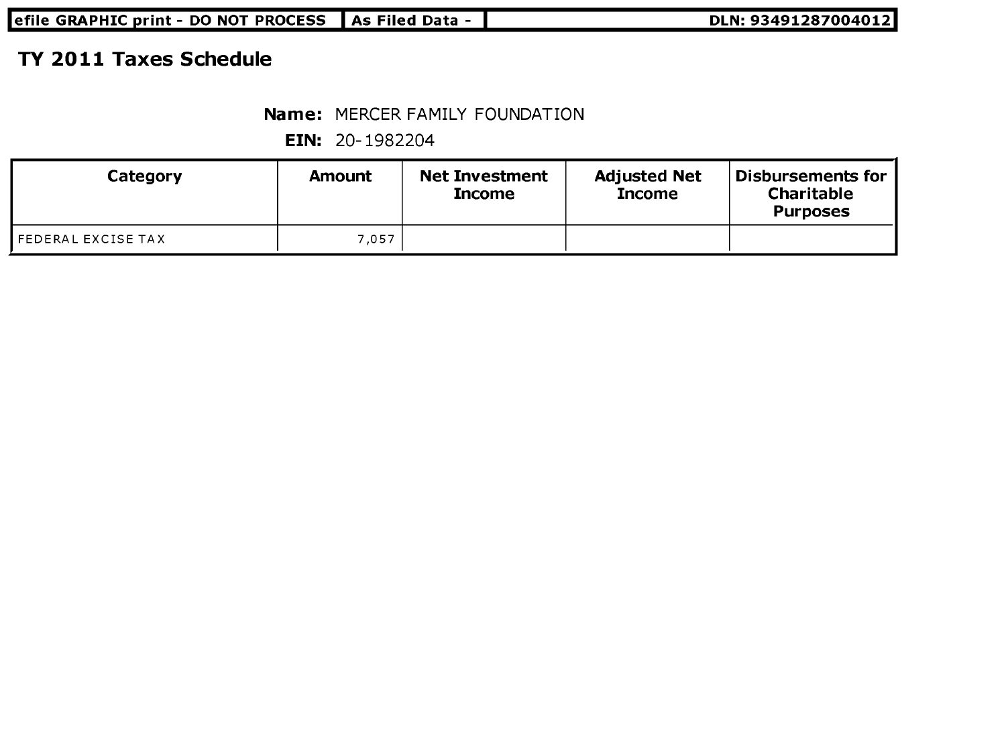| efile GRAPHIC print - DO NOT PROCESS   As Filed Data -<br>DLN: 93491287004012 |  |
|-------------------------------------------------------------------------------|--|
|-------------------------------------------------------------------------------|--|

## TY 2011 Taxes Schedule

#### Name: MERCER FAMILY FOUNDATION

| Category           | Amount | <b>Net Investment</b><br><b>Income</b> | <b>Adjusted Net</b><br><b>Income</b> | Disbursements for<br>Charitable<br><b>Purposes</b> |
|--------------------|--------|----------------------------------------|--------------------------------------|----------------------------------------------------|
| FEDERAL EXCISE TAX | 7.057  |                                        |                                      |                                                    |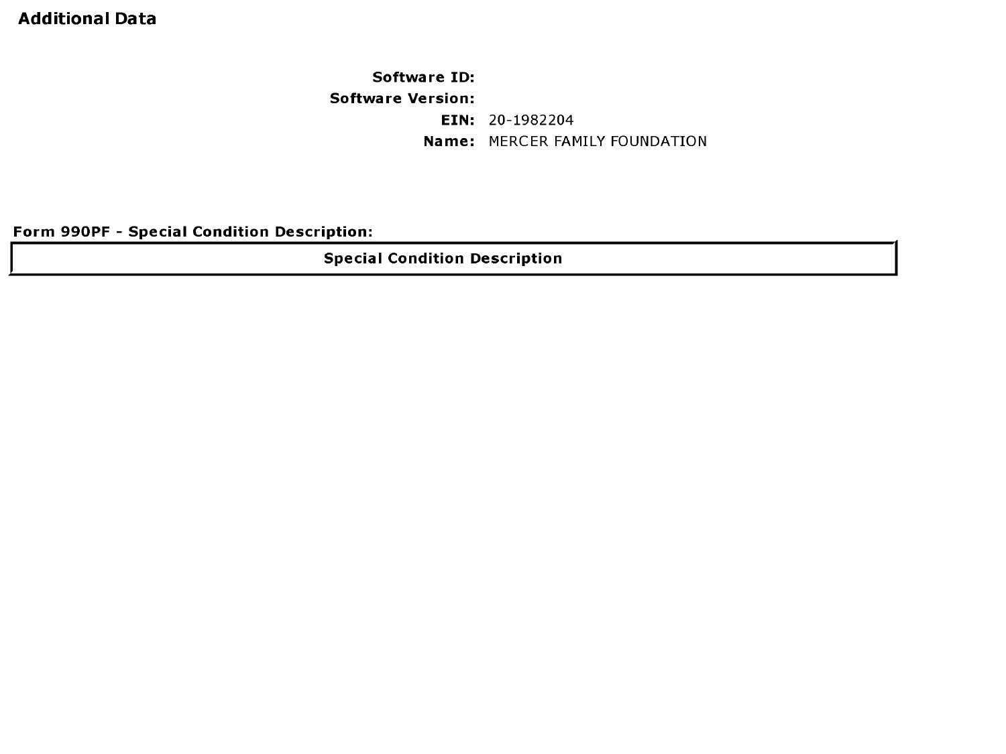### Additional Data

Software ID: Software Version: EIN: 20-1982204 Name: MERCER FAMILY FOUNDATION

Form 990PF - Special Condition Description:

Special Condition Description